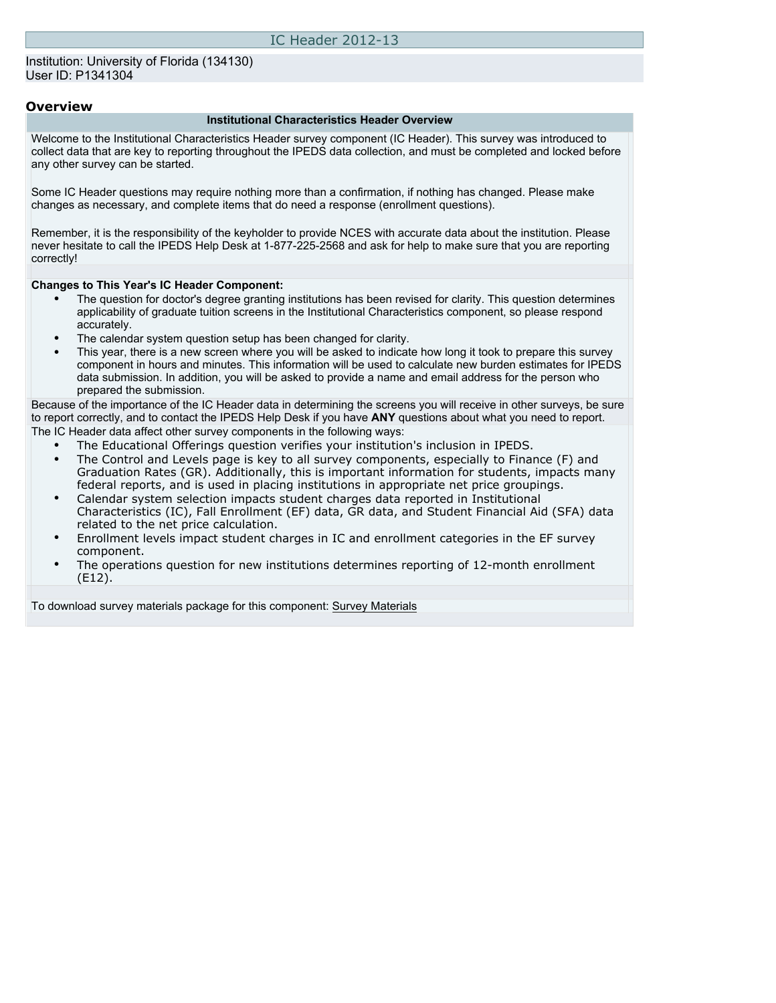### **Overview**

#### **Institutional Characteristics Header Overview**

Welcome to the Institutional Characteristics Header survey component (IC Header). This survey was introduced to collect data that are key to reporting throughout the IPEDS data collection, and must be completed and locked before any other survey can be started.

Some IC Header questions may require nothing more than a confirmation, if nothing has changed. Please make changes as necessary, and complete items that do need a response (enrollment questions).

Remember, it is the responsibility of the keyholder to provide NCES with accurate data about the institution. Please never hesitate to call the IPEDS Help Desk at 1-877-225-2568 and ask for help to make sure that you are reporting correctly!

#### **Changes to This Year's IC Header Component:**

- The question for doctor's degree granting institutions has been revised for clarity. This question determines applicability of graduate tuition screens in the Institutional Characteristics component, so please respond accurately.
- The calendar system question setup has been changed for clarity.
- This year, there is a new screen where you will be asked to indicate how long it took to prepare this survey component in hours and minutes. This information will be used to calculate new burden estimates for IPEDS data submission. In addition, you will be asked to provide a name and email address for the person who prepared the submission.

Because of the importance of the IC Header data in determining the screens you will receive in other surveys, be sure to report correctly, and to contact the IPEDS Help Desk if you have **ANY** questions about what you need to report. The IC Header data affect other survey components in the following ways:

- The Educational Offerings question verifies your institution's inclusion in IPEDS.
- The Control and Levels page is key to all survey components, especially to Finance (F) and Graduation Rates (GR). Additionally, this is important information for students, impacts many federal reports, and is used in placing institutions in appropriate net price groupings.
- Calendar system selection impacts student charges data reported in Institutional Characteristics (IC), Fall Enrollment (EF) data, GR data, and Student Financial Aid (SFA) data related to the net price calculation.
- Enrollment levels impact student charges in IC and enrollment categories in the EF survey component.
- The operations question for new institutions determines reporting of 12-month enrollment (E12).

To download survey materials package for this component: [Survey Materials](https://surveys.nces.ed.gov/ipeds/VisIndex.aspx)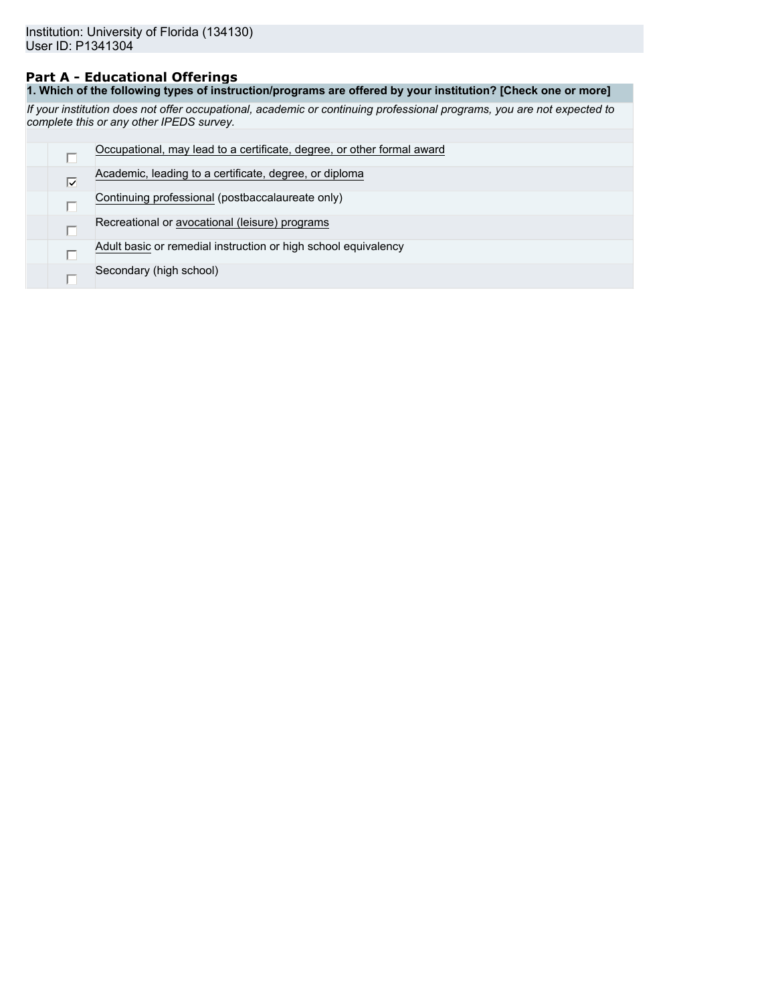## **Part A - Educational Offerings**

**1. Which of the following types of instruction/programs are offered by your institution? [Check one or more]**

*If your institution does not offer occupational, academic or continuing professional programs, you are not expected to complete this or any other IPEDS survey.*

|                            | Occupational, may lead to a certificate, degree, or other formal award |
|----------------------------|------------------------------------------------------------------------|
| $\overline{\triangledown}$ | Academic, leading to a certificate, degree, or diploma                 |
|                            | Continuing professional (postbaccalaureate only)                       |
|                            | Recreational or avocational (leisure) programs                         |
|                            | Adult basic or remedial instruction or high school equivalency         |
|                            | Secondary (high school)                                                |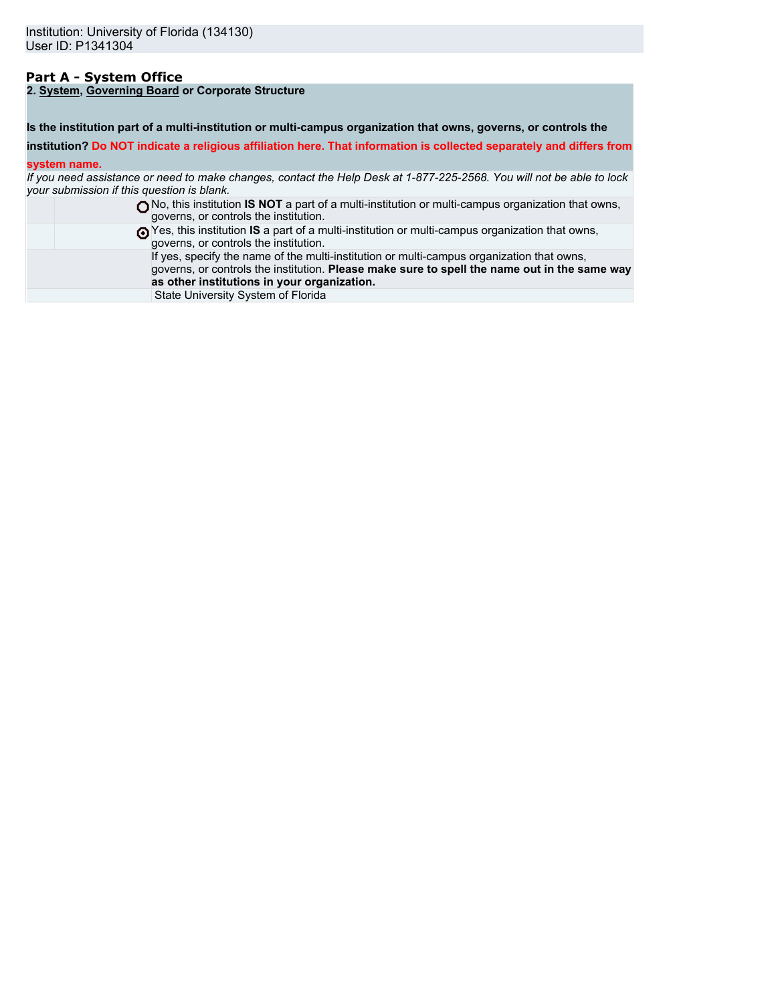## **Part A - System Office**

**2. System, Governing Board or Corporate Structure**

**Is the institution part of a multi-institution or multi-campus organization that owns, governs, or controls the**

**institution? Do NOT indicate a religious affiliation here. That information is collected separately and differs from**

### **system name.**

*If you need assistance or need to make changes, contact the Help Desk at 1-877-225-2568. You will not be able to lock your submission if this question is blank.*

| No, this institution <b>IS NOT</b> a part of a multi-institution or multi-campus organization that owns,<br>governs, or controls the institution.                                                                                        |
|------------------------------------------------------------------------------------------------------------------------------------------------------------------------------------------------------------------------------------------|
| These this institution IS a part of a multi-institution or multi-campus organization that owns,<br>governs, or controls the institution.                                                                                                 |
| If yes, specify the name of the multi-institution or multi-campus organization that owns,<br>governs, or controls the institution. Please make sure to spell the name out in the same way<br>as other institutions in your organization. |
| State University System of Florida                                                                                                                                                                                                       |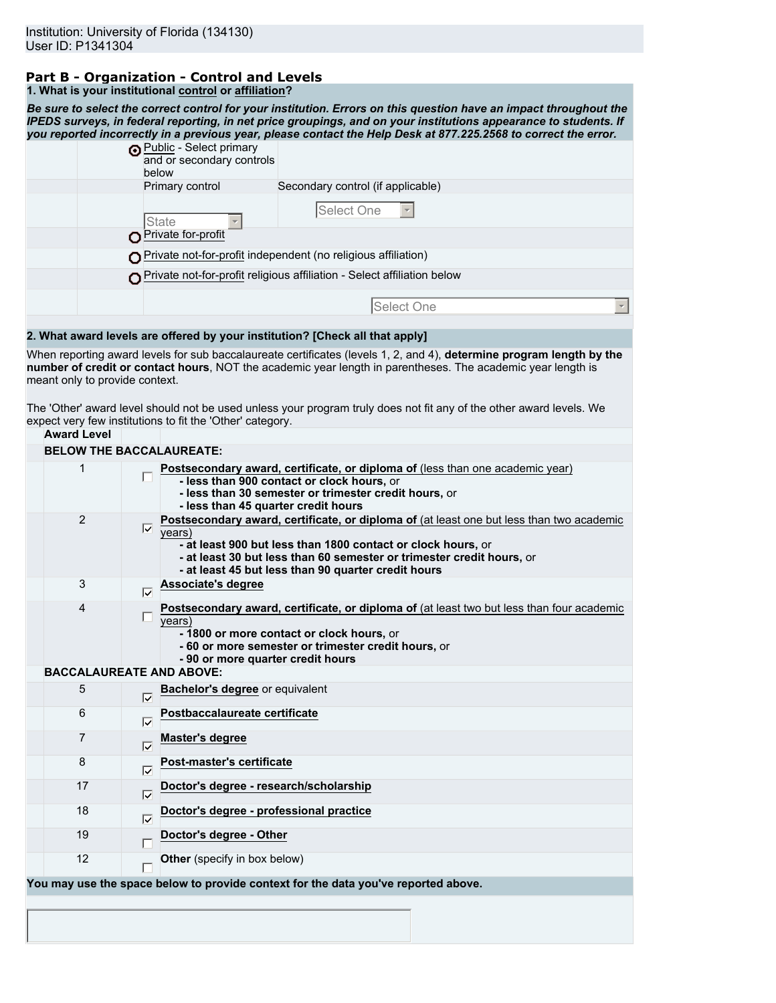# **Part B - Organization - Control and Levels**

| 1. What is your institutional control or affiliation? |
|-------------------------------------------------------|
|-------------------------------------------------------|

*Be sure to select the correct control for your institution. Errors on this question have an impact throughout the IPEDS surveys, in federal reporting, in net price groupings, and on your institutions appearance to students. If you reported incorrectly in a previous year, please contact the Help Desk at 877.225.2568 to correct the error.* Public - Select primary

| below | (a) <u>Fubild</u> - Scied primary<br>and or secondary controls          |                                   |            |  |
|-------|-------------------------------------------------------------------------|-----------------------------------|------------|--|
|       | Primary control                                                         | Secondary control (if applicable) |            |  |
| State |                                                                         | Select One                        |            |  |
|       | Private for-profit                                                      |                                   |            |  |
|       | O Private not-for-profit independent (no religious affiliation)         |                                   |            |  |
|       | Private not-for-profit religious affiliation - Select affiliation below |                                   |            |  |
|       |                                                                         |                                   | Select One |  |
|       |                                                                         |                                   |            |  |

## **2. What award levels are offered by your institution? [Check all that apply]**

When reporting award levels for sub baccalaureate certificates (levels 1, 2, and 4), **determine program length by the number of credit or contact hours**, NOT the academic year length in parentheses. The academic year length is meant only to provide context.

The 'Other' award level should not be used unless your program truly does not fit any of the other award levels. We expect very few institutions to fit the 'Other' category.

| <b>Award Level</b>              |                            |                                                                                                                                                                                                                                                                                                    |
|---------------------------------|----------------------------|----------------------------------------------------------------------------------------------------------------------------------------------------------------------------------------------------------------------------------------------------------------------------------------------------|
| <b>BELOW THE BACCALAUREATE:</b> |                            |                                                                                                                                                                                                                                                                                                    |
| 1                               |                            | Postsecondary award, certificate, or diploma of (less than one academic year)<br>- less than 900 contact or clock hours, or<br>- less than 30 semester or trimester credit hours, or<br>- less than 45 quarter credit hours                                                                        |
| $\overline{2}$                  | $\overline{\vee}$          | Postsecondary award, certificate, or diploma of (at least one but less than two academic<br>years)<br>- at least 900 but less than 1800 contact or clock hours, or<br>- at least 30 but less than 60 semester or trimester credit hours, or<br>- at least 45 but less than 90 quarter credit hours |
| 3                               | $\overline{\nabla}$        | Associate's degree                                                                                                                                                                                                                                                                                 |
| 4                               |                            | Postsecondary award, certificate, or diploma of (at least two but less than four academic<br>years)<br>- 1800 or more contact or clock hours, or<br>- 60 or more semester or trimester credit hours, or<br>- 90 or more quarter credit hours                                                       |
| <b>BACCALAUREATE AND ABOVE:</b> |                            |                                                                                                                                                                                                                                                                                                    |
| 5                               | ঢ়                         | Bachelor's degree or equivalent                                                                                                                                                                                                                                                                    |
| 6                               | ঢ়                         | Postbaccalaureate certificate                                                                                                                                                                                                                                                                      |
| 7                               | $\overline{\nabla}$        | Master's degree                                                                                                                                                                                                                                                                                    |
| 8                               | $\overline{\nabla}$        | Post-master's certificate                                                                                                                                                                                                                                                                          |
| 17                              | $\overline{\triangledown}$ | Doctor's degree - research/scholarship                                                                                                                                                                                                                                                             |
| 18                              |                            | Doctor's degree - professional practice                                                                                                                                                                                                                                                            |
| 19                              |                            | Doctor's degree - Other                                                                                                                                                                                                                                                                            |
| 12                              |                            | Other (specify in box below)                                                                                                                                                                                                                                                                       |
|                                 |                            | You may use the space below to provide context for the data you've reported above.                                                                                                                                                                                                                 |
|                                 |                            |                                                                                                                                                                                                                                                                                                    |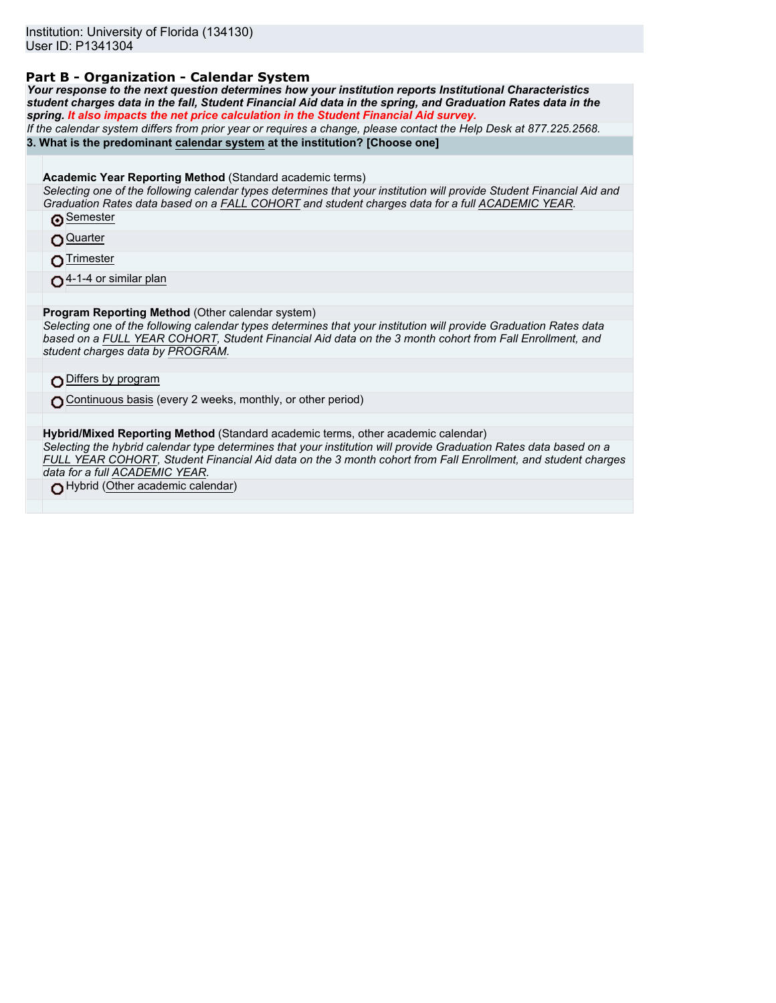### **Part B - Organization - Calendar System**

*Your response to the next question determines how your institution reports Institutional Characteristics student charges data in the fall, Student Financial Aid data in the spring, and Graduation Rates data in the spring. It also impacts the net price calculation in the Student Financial Aid survey.*

*If the calendar system differs from prior year or requires a change, please contact the Help Desk at 877.225.2568.* **3. What is the predominant calendar system at the institution? [Choose one]**

**Academic Year Reporting Method** (Standard academic terms)

*Selecting one of the following calendar types determines that your institution will provide Student Financial Aid and Graduation Rates data based on a FALL COHORT and student charges data for a full ACADEMIC YEAR.* **Semester** 

Quarter

∩Trimester

 $\bigcap$  4-1-4 or similar plan

**Program Reporting Method** (Other calendar system)

*Selecting one of the following calendar types determines that your institution will provide Graduation Rates data based on a FULL YEAR COHORT, Student Financial Aid data on the 3 month cohort from Fall Enrollment, and student charges data by PROGRAM.*

DDiffers by program

Continuous basis (every 2 weeks, monthly, or other period)

**Hybrid/Mixed Reporting Method** (Standard academic terms, other academic calendar)

*Selecting the hybrid calendar type determines that your institution will provide Graduation Rates data based on a FULL YEAR COHORT, Student Financial Aid data on the 3 month cohort from Fall Enrollment, and student charges data for a full ACADEMIC YEAR.*

Hybrid (Other academic calendar)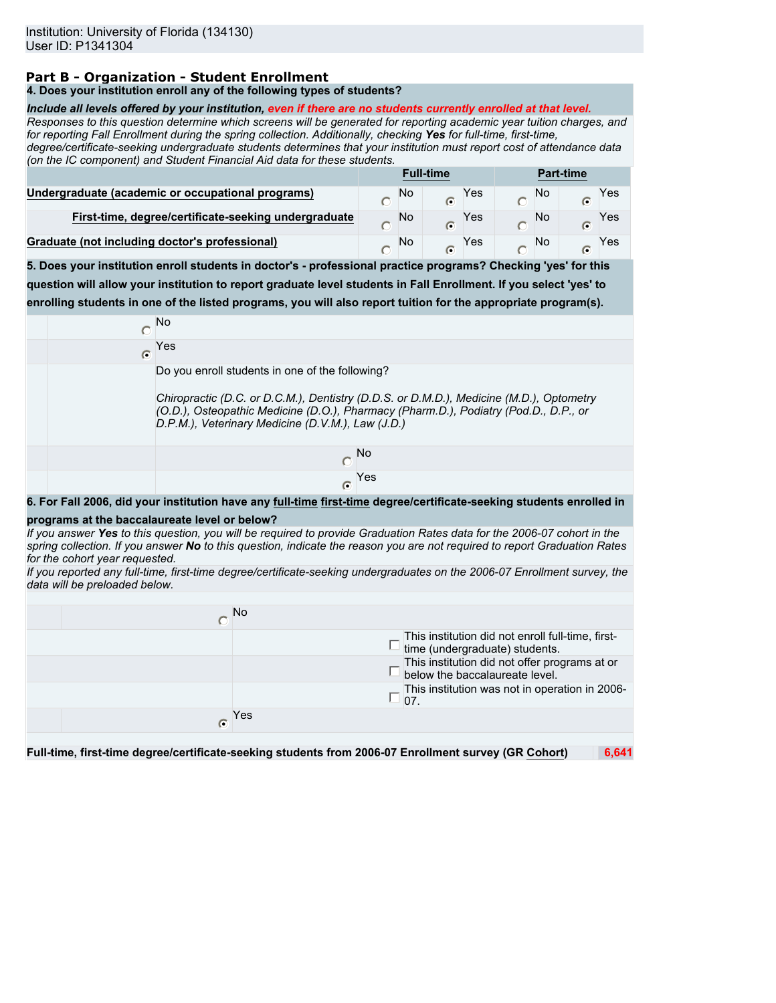## **Part B - Organization - Student Enrollment**

### **4. Does your institution enroll any of the following types of students?**

#### *Include all levels offered by your institution, even if there are no students currently enrolled at that level.*

*Responses to this question determine which screens will be generated for reporting academic year tuition charges, and for reporting Fall Enrollment during the spring collection. Additionally, checking Yes for full-time, first-time,*

*degree/certificate-seeking undergraduate students determines that your institution must report cost of attendance data (on the IC component) and Student Financial Aid data for these students.*

|                                                      | <b>Full-time</b> |    |   | <b>Part-time</b> |  |    |   |     |
|------------------------------------------------------|------------------|----|---|------------------|--|----|---|-----|
| Undergraduate (academic or occupational programs)    |                  | No | G | Yes              |  | No | C | Yes |
| First-time, degree/certificate-seeking undergraduate |                  | No |   | Yes              |  | No |   | Yes |
| Graduate (not including doctor's professional)       |                  | No |   | Yes              |  | No | C | Yes |

**5. Does your institution enroll students in doctor's - professional practice programs? Checking 'yes' for this question will allow your institution to report graduate level students in Fall Enrollment. If you select 'yes' to enrolling students in one of the listed programs, you will also report tuition for the appropriate program(s).**

|          | <b>No</b>                                                                                                                                                                                                                                                                               |
|----------|-----------------------------------------------------------------------------------------------------------------------------------------------------------------------------------------------------------------------------------------------------------------------------------------|
| $\sigma$ | Yes                                                                                                                                                                                                                                                                                     |
|          | Do you enroll students in one of the following?<br>Chiropractic (D.C. or D.C.M.), Dentistry (D.D.S. or D.M.D.), Medicine (M.D.), Optometry<br>(O.D.), Osteopathic Medicine (D.O.), Pharmacy (Pharm.D.), Podiatry (Pod.D., D.P., or<br>D.P.M.), Veterinary Medicine (D.V.M.), Law (J.D.) |
|          | No.                                                                                                                                                                                                                                                                                     |
|          | Yes<br>C                                                                                                                                                                                                                                                                                |

**6. For Fall 2006, did your institution have any full-time first-time degree/certificate-seeking students enrolled in**

#### **programs at the baccalaureate level or below?**

*If you answer Yes to this question, you will be required to provide Graduation Rates data for the 2006-07 cohort in the spring collection. If you answer No to this question, indicate the reason you are not required to report Graduation Rates for the cohort year requested.*

*If you reported any full-time, first-time degree/certificate-seeking undergraduates on the 2006-07 Enrollment survey, the data will be preloaded below.*

|   | No                                                                                  |
|---|-------------------------------------------------------------------------------------|
|   | This institution did not enroll full-time, first-<br>time (undergraduate) students. |
|   | This institution did not offer programs at or<br>below the baccalaureate level.     |
|   | This institution was not in operation in 2006-<br>07.                               |
| G | Yes                                                                                 |
|   |                                                                                     |

**Full-time, first-time degree/certificate-seeking students from 2006-07 Enrollment survey (GR Cohort) 6,641**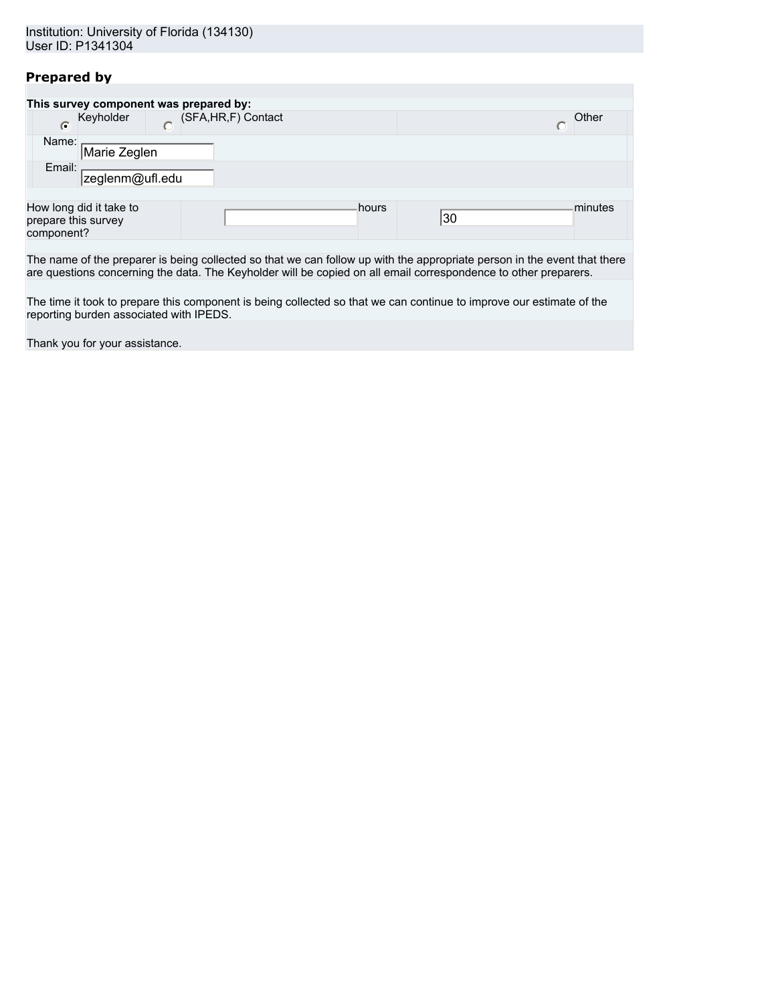## **Prepared by**

|                                        |                         |  | This survey component was prepared by: |       |  |       |  |         |
|----------------------------------------|-------------------------|--|----------------------------------------|-------|--|-------|--|---------|
| (SFA, HR, F) Contact<br>Keyholder<br>C |                         |  |                                        |       |  | Other |  |         |
| Name:                                  | Marie Zeglen            |  |                                        |       |  |       |  |         |
| Email:                                 | zeglenm@ufl.edu         |  |                                        |       |  |       |  |         |
|                                        |                         |  |                                        |       |  |       |  |         |
| prepare this survey<br>component?      | How long did it take to |  |                                        | hours |  | 30    |  | minutes |

The name of the preparer is being collected so that we can follow up with the appropriate person in the event that there are questions concerning the data. The Keyholder will be copied on all email correspondence to other preparers.

The time it took to prepare this component is being collected so that we can continue to improve our estimate of the reporting burden associated with IPEDS.

Thank you for your assistance.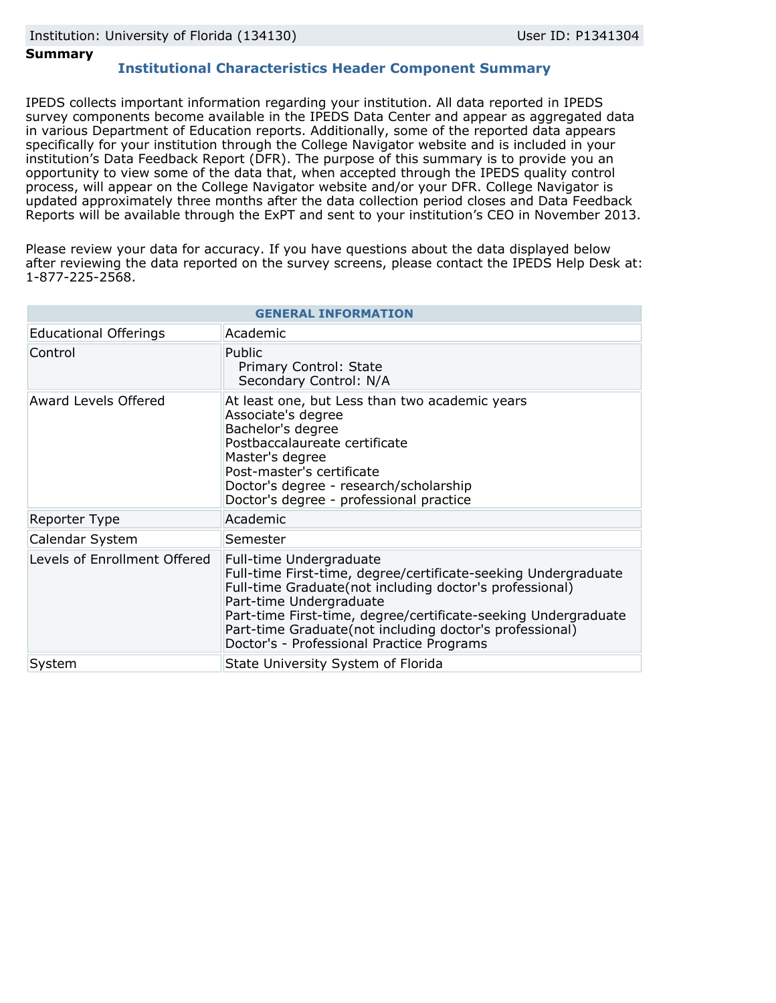### **Summary**

## **Institutional Characteristics Header Component Summary**

IPEDS collects important information regarding your institution. All data reported in IPEDS survey components become available in the IPEDS Data Center and appear as aggregated data in various Department of Education reports. Additionally, some of the reported data appears specifically for your institution through the College Navigator website and is included in your institution's Data Feedback Report (DFR). The purpose of this summary is to provide you an opportunity to view some of the data that, when accepted through the IPEDS quality control process, will appear on the College Navigator website and/or your DFR. College Navigator is updated approximately three months after the data collection period closes and Data Feedback Reports will be available through the ExPT and sent to your institution's CEO in November 2013.

Please review your data for accuracy. If you have questions about the data displayed below after reviewing the data reported on the survey screens, please contact the IPEDS Help Desk at: 1-877-225-2568.

|                              | <b>GENERAL INFORMATION</b>                                                                                                                                                                                                                                                                                                                                |  |  |  |  |
|------------------------------|-----------------------------------------------------------------------------------------------------------------------------------------------------------------------------------------------------------------------------------------------------------------------------------------------------------------------------------------------------------|--|--|--|--|
| <b>Educational Offerings</b> | Academic                                                                                                                                                                                                                                                                                                                                                  |  |  |  |  |
| Control                      | Public<br>Primary Control: State<br>Secondary Control: N/A                                                                                                                                                                                                                                                                                                |  |  |  |  |
| <b>Award Levels Offered</b>  | At least one, but Less than two academic years<br>Associate's degree<br>Bachelor's degree<br>Postbaccalaureate certificate<br>Master's degree<br>Post-master's certificate<br>Doctor's degree - research/scholarship<br>Doctor's degree - professional practice                                                                                           |  |  |  |  |
| Reporter Type                | Academic                                                                                                                                                                                                                                                                                                                                                  |  |  |  |  |
| Calendar System              | Semester                                                                                                                                                                                                                                                                                                                                                  |  |  |  |  |
| Levels of Enrollment Offered | Full-time Undergraduate<br>Full-time First-time, degree/certificate-seeking Undergraduate<br>Full-time Graduate(not including doctor's professional)<br>Part-time Undergraduate<br>Part-time First-time, degree/certificate-seeking Undergraduate<br>Part-time Graduate(not including doctor's professional)<br>Doctor's - Professional Practice Programs |  |  |  |  |
| System                       | State University System of Florida                                                                                                                                                                                                                                                                                                                        |  |  |  |  |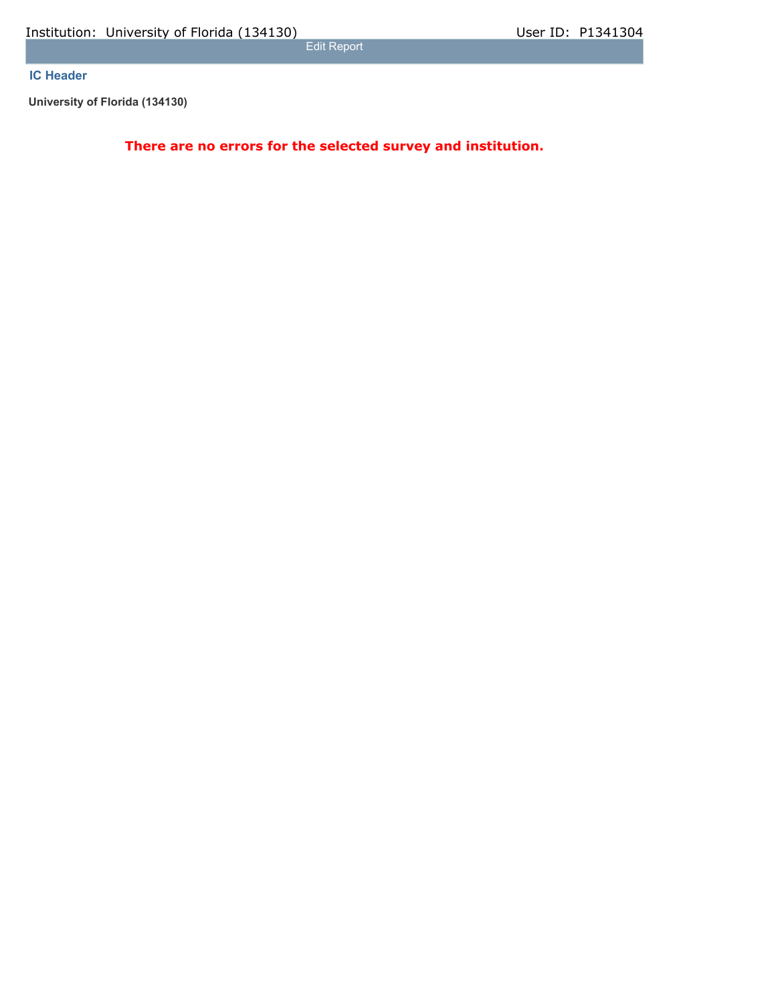Edit Report

## **IC Header**

**University of Florida (134130)**

**There are no errors for the selected survey and institution.**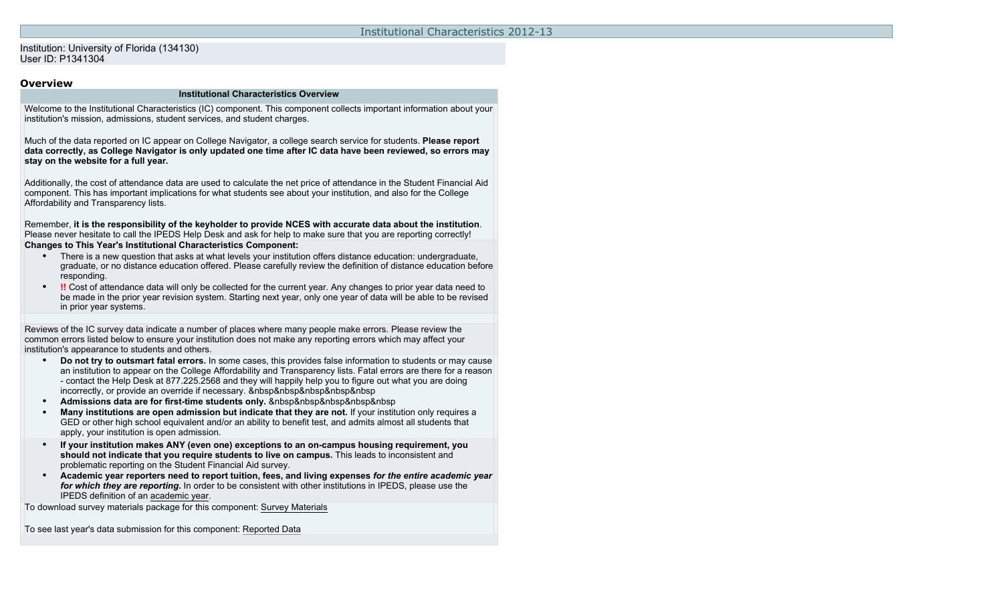### Institution: University of Florida (134130) User ID: P1341304

### **Overview**

#### **Institutional Characteristics Overview**

Welcome to the Institutional Characteristics (IC) component. This component collects important information about your institution's mission, admissions, student services, and student charges.

Much of the data reported on IC appear on College Navigator, a college search service for students. **Please report data correctly, as College Navigator is only updated one time after IC data have been reviewed, so errors may stay on the website for a full year.**

Additionally, the cost of attendance data are used to calculate the net price of attendance in the Student Financial Aid component. This has important implications for what students see about your institution, and also for the College Affordability and Transparency lists.

Remember, **it is the responsibility of the keyholder to provide NCES with accurate data about the institution**. Please never hesitate to call the IPEDS Help Desk and ask for help to make sure that you are reporting correctly! **Changes to This Year's Institutional Characteristics Component:**

- There is a new question that asks at what levels your institution offers distance education: undergraduate, graduate, or no distance education offered. Please carefully review the definition of distance education before responding.
- **!!** Cost of attendance data will only be collected for the current year. Any changes to prior year data need to be made in the prior year revision system. Starting next year, only one year of data will be able to be revised in prior year systems.

Reviews of the IC survey data indicate a number of places where many people make errors. Please review the common errors listed below to ensure your institution does not make any reporting errors which may affect your institution's appearance to students and others.

- **Do not try to outsmart fatal errors.** In some cases, this provides false information to students or may cause an institution to appear on the College Affordability and Transparency lists. Fatal errors are there for a reason - contact the Help Desk at 877.225.2568 and they will happily help you to figure out what you are doing incorrectly, or provide an override if necessary. **&nbsp&nbsp&nbsp&nbsp&nbsp**
- **•** Admissions data are for first-time students only. *&nbsp&nbsp&nbsp&nbsp&nbsp*
- **Many institutions are open admission but indicate that they are not.** If your institution only requires a GED or other high school equivalent and/or an ability to benefit test, and admits almost all students that apply, your institution is open admission.
- **If your institution makes ANY (even one) exceptions to an on-campus housing requirement, you should not indicate that you require students to live on campus.** This leads to inconsistent and problematic reporting on the Student Financial Aid survey.
- **Academic year reporters need to report tuition, fees, and living expenses** *for the entire academic year for which they are reporting***.** In order to be consistent with other institutions in IPEDS, please use the IPEDS definition of an academic year.

To download survey materials package for this component: [Survey Materials](https://surveys.nces.ed.gov/ipeds/VisIndex.aspx)

To see last year's data submission for this component: [Reported Data](https://surveys.nces.ed.gov/IPEDS/PriorYearDataRedirect.aspx?survey_id=11)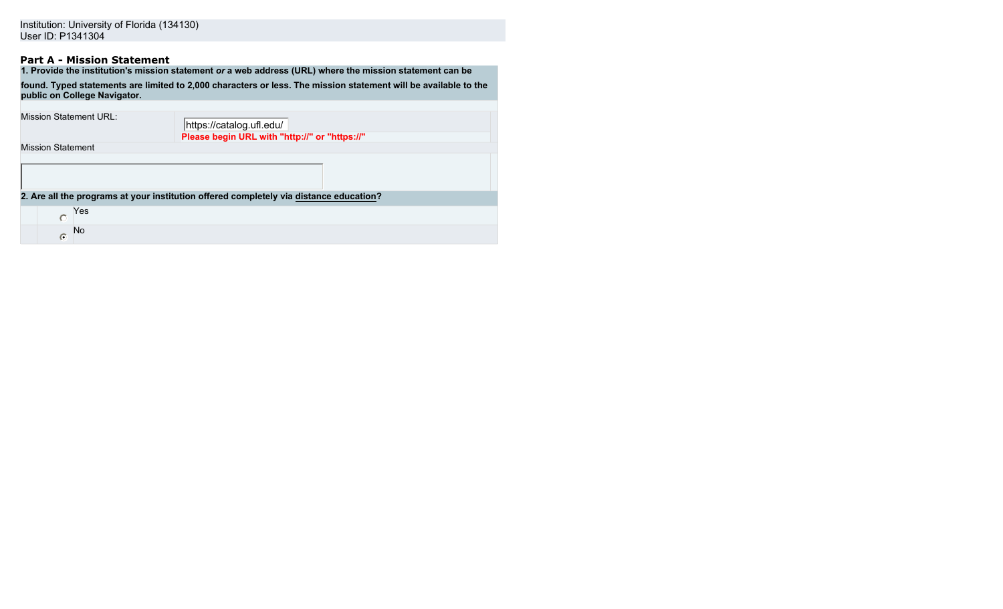# **Part A - Mission Statement**

|                              | 1. Provide the institution's mission statement or a web address (URL) where the mission statement can be        |  |  |  |  |  |  |  |
|------------------------------|-----------------------------------------------------------------------------------------------------------------|--|--|--|--|--|--|--|
| public on College Navigator. | found. Typed statements are limited to 2,000 characters or less. The mission statement will be available to the |  |  |  |  |  |  |  |
|                              |                                                                                                                 |  |  |  |  |  |  |  |
| Mission Statement URL:       | https://catalog.ufl.edu/                                                                                        |  |  |  |  |  |  |  |
|                              | Please begin URL with "http://" or "https://"                                                                   |  |  |  |  |  |  |  |
| <b>Mission Statement</b>     |                                                                                                                 |  |  |  |  |  |  |  |
|                              |                                                                                                                 |  |  |  |  |  |  |  |
|                              | 2. Are all the programs at your institution offered completely via distance education?                          |  |  |  |  |  |  |  |
| Yes<br>C                     |                                                                                                                 |  |  |  |  |  |  |  |
| No.<br>G                     |                                                                                                                 |  |  |  |  |  |  |  |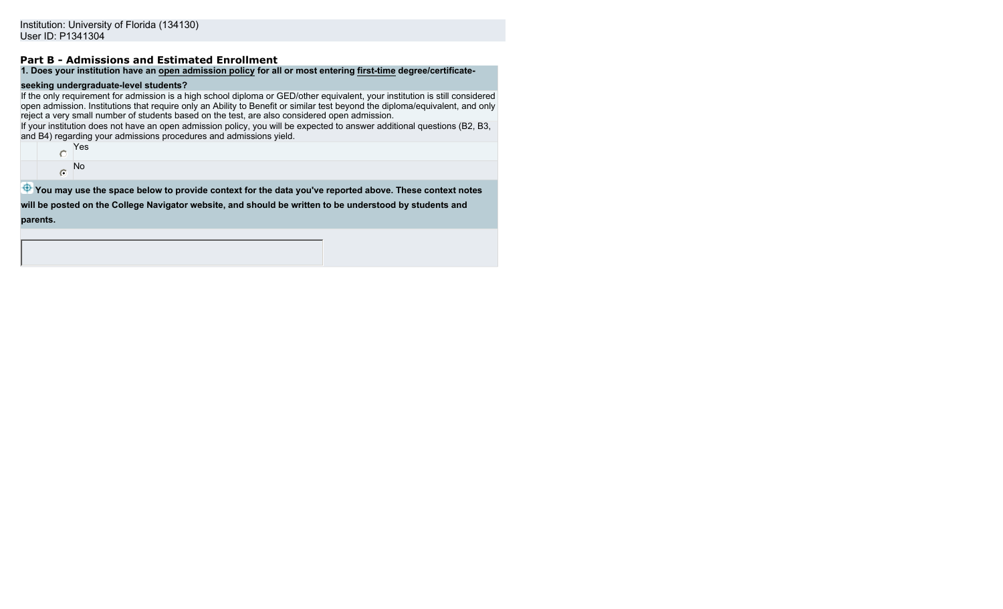## **Part B - Admissions and Estimated Enrollment**

## **1. Does your institution have an open admission policy for all or most entering first-time degree/certificate-**

### **seeking undergraduate-level students?**

If the only requirement for admission is a high school diploma or GED/other equivalent, your institution is still considered open admission. Institutions that require only an Ability to Benefit or similar test beyond the diploma/equivalent, and only reject a very small number of students based on the test, are also considered open admission.

If your institution does not have an open admission policy, you will be expected to answer additional questions (B2, B3, and B4) regarding your admissions procedures and admissions yield.

C Yes No  $\bullet$ 

**<sup>4</sup>** You may use the space below to provide context for the data you've reported above. These context notes

**will be posted on the College Navigator website, and should be written to be understood by students and parents.**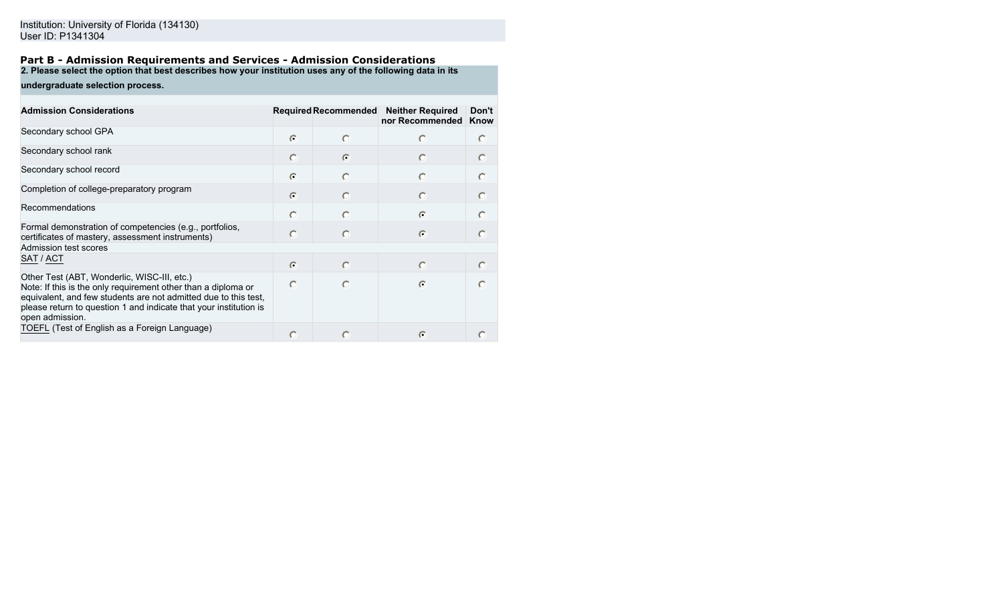#### **Part B - Admission Requirements and Services - Admission Considerations 2. Please select the option that best describes how your institution uses any of the following data in its**

**undergraduate selection process.**

| <b>Admission Considerations</b>                                                                                                                                                                                                                                         |            |           | Required Recommended Neither Required<br>nor Recommended | Don't<br>Know |
|-------------------------------------------------------------------------------------------------------------------------------------------------------------------------------------------------------------------------------------------------------------------------|------------|-----------|----------------------------------------------------------|---------------|
| Secondary school GPA                                                                                                                                                                                                                                                    | $\bigcap$  | O         |                                                          | $\bigcap$     |
| Secondary school rank                                                                                                                                                                                                                                                   | $\bigcap$  | $\subset$ | $\circ$                                                  | $\circ$       |
| Secondary school record                                                                                                                                                                                                                                                 | $\bigcap$  | $\bigcap$ | $\bigcap$                                                | $\bigcap$     |
| Completion of college-preparatory program                                                                                                                                                                                                                               | $\bigcirc$ | $\bigcap$ | $\circ$                                                  | $\circ$       |
| Recommendations                                                                                                                                                                                                                                                         | $\bigcap$  |           | $\bullet$                                                | $\bigcap$     |
| Formal demonstration of competencies (e.g., portfolios,<br>certificates of mastery, assessment instruments)                                                                                                                                                             | $\circ$    | $\circ$   | $\sigma$                                                 | $\circ$       |
| Admission test scores                                                                                                                                                                                                                                                   |            |           |                                                          |               |
| SAT / ACT                                                                                                                                                                                                                                                               | $\bigcirc$ | $\bigcap$ | $\Box$                                                   | $\bigcirc$    |
| Other Test (ABT, Wonderlic, WISC-III, etc.)<br>Note: If this is the only requirement other than a diploma or<br>equivalent, and few students are not admitted due to this test,<br>please return to question 1 and indicate that your institution is<br>open admission. | $\bigcap$  | O         | $\epsilon$                                               | $\bigcap$     |
| TOEFL (Test of English as a Foreign Language)                                                                                                                                                                                                                           |            |           | $\Box$                                                   |               |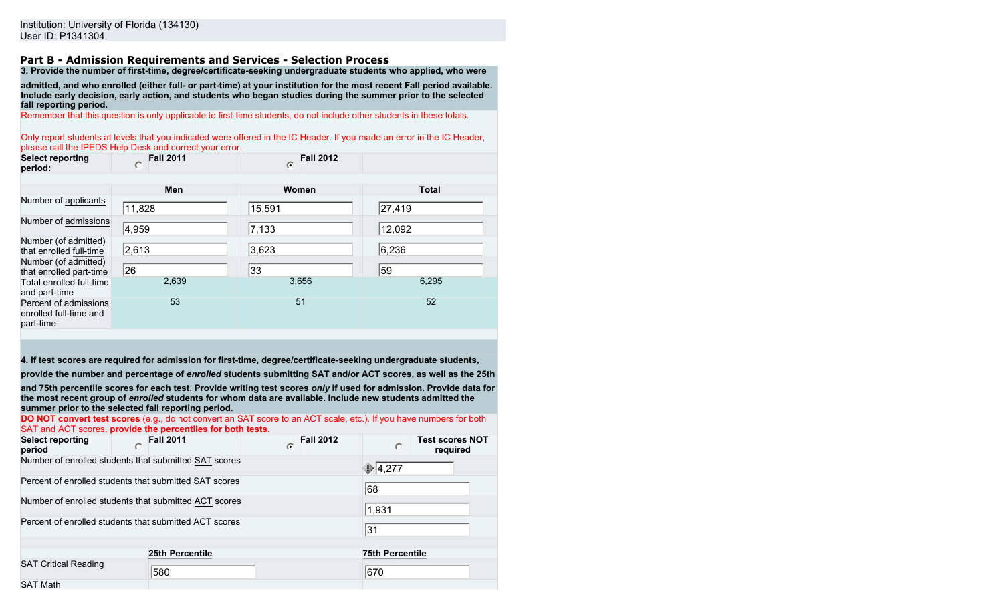#### **Part B - Admission Requirements and Services - Selection Process 3. Provide the number of first-time, degree/certificate-seeking undergraduate students who applied, who were**

**admitted, and who enrolled (either full- or part-time) at your institution for the most recent Fall period available. Include early decision, early action, and students who began studies during the summer prior to the selected fall reporting period.**

Remember that this question is only applicable to first-time students, do not include other students in these totals.

Only report students at levels that you indicated were offered in the IC Header. If you made an error in the IC Header, please call the IPEDS Help Desk and correct your error.

| <b>Select reporting</b><br>period:                           | <b>Fall 2011</b> | <b>Fall 2012</b><br>$\bigcirc$ |              |
|--------------------------------------------------------------|------------------|--------------------------------|--------------|
|                                                              | Men              | Women                          | <b>Total</b> |
| Number of applicants                                         | 11,828           | 15,591                         | 27,419       |
| Number of admissions                                         | 4,959            | 7,133                          | 12,092       |
| Number (of admitted)<br>that enrolled full-time              | 2,613            | 3,623                          | 6,236        |
| Number (of admitted)<br>that enrolled part-time              | 26               | 33                             | 59           |
| Total enrolled full-time<br>and part-time                    | 2,639            | 3,656                          | 6,295        |
| Percent of admissions<br>enrolled full-time and<br>part-time | 53               | 51                             | 52           |

**4. If test scores are required for admission for first-time, degree/certificate-seeking undergraduate students,**

**provide the number and percentage of** *enrolled* **students submitting SAT and/or ACT scores, as well as the 25th**

**and 75th percentile scores for each test. Provide writing test scores** *only* **if used for admission. Provide data for the most recent group of** *enrolled* **students for whom data are available. Include new students admitted the summer prior to the selected fall reporting period.**

| <b>DO NOT convert test scores</b> (e.g., do not convert an SAT score to an ACT scale, etc.). If you have numbers for both |                                                             |   |                  |                        |                                    |  |
|---------------------------------------------------------------------------------------------------------------------------|-------------------------------------------------------------|---|------------------|------------------------|------------------------------------|--|
|                                                                                                                           | SAT and ACT scores, provide the percentiles for both tests. |   |                  |                        |                                    |  |
| <b>Select reporting</b><br>period                                                                                         | <b>Fall 2011</b>                                            | C | <b>Fall 2012</b> | $\bigcap$              | <b>Test scores NOT</b><br>required |  |
| Number of enrolled students that submitted SAT scores                                                                     |                                                             |   |                  |                        |                                    |  |
| Percent of enrolled students that submitted SAT scores                                                                    |                                                             |   |                  |                        | 68                                 |  |
| Number of enrolled students that submitted ACT scores<br> 1,931                                                           |                                                             |   |                  |                        |                                    |  |
| Percent of enrolled students that submitted ACT scores<br>31                                                              |                                                             |   |                  |                        |                                    |  |
|                                                                                                                           |                                                             |   |                  |                        |                                    |  |
|                                                                                                                           | 25th Percentile                                             |   |                  | <b>75th Percentile</b> |                                    |  |
| <b>SAT Critical Reading</b>                                                                                               | 580                                                         |   |                  | 670                    |                                    |  |
| <b>SAT Math</b>                                                                                                           |                                                             |   |                  |                        |                                    |  |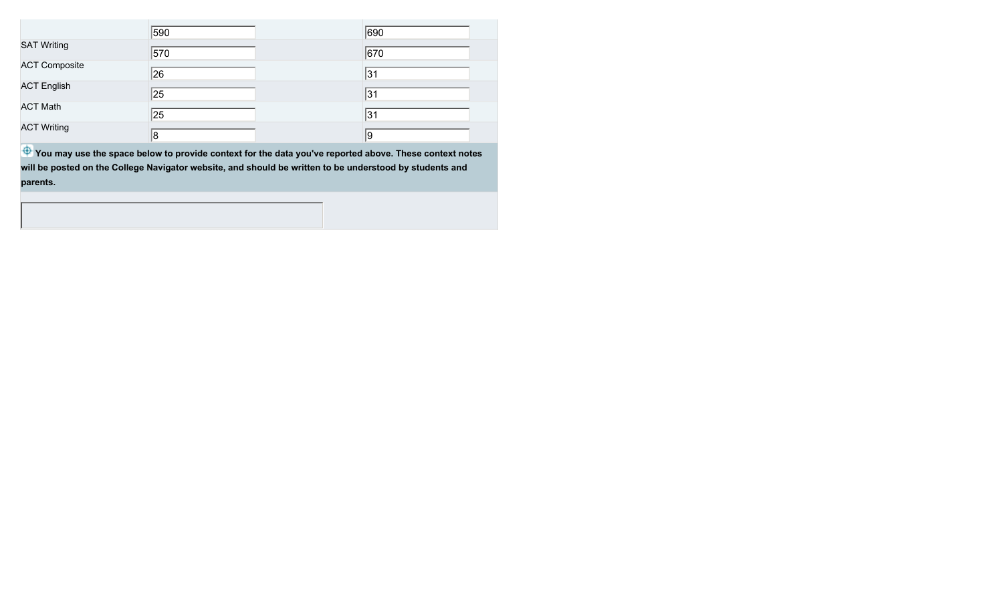|                      | 590 | 690 |
|----------------------|-----|-----|
| <b>SAT Writing</b>   | 570 | 670 |
| <b>ACT Composite</b> | 26  | 31  |
| <b>ACT English</b>   | 25  | 31  |
| <b>ACT Math</b>      | 25  | 31  |
| <b>ACT Writing</b>   | 8   | 19  |

**<sup>4</sup>** You may use the space below to provide context for the data you've reported above. These context notes **will be posted on the College Navigator website, and should be written to be understood by students and parents.**

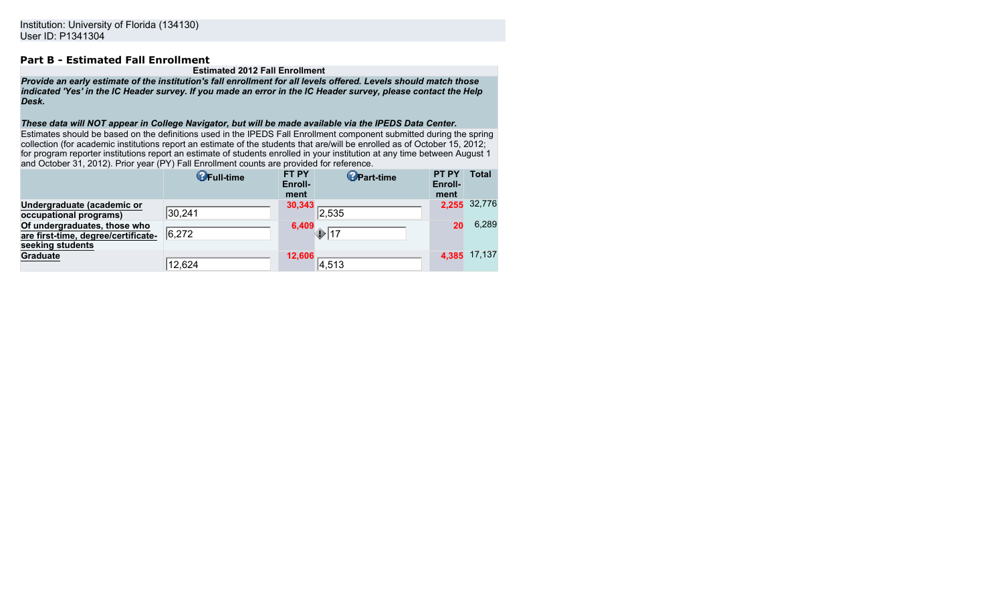## **Part B - Estimated Fall Enrollment**

#### **Estimated 2012 Fall Enrollment**

*Provide an early estimate of the institution's fall enrollment for all levels offered. Levels should match those indicated 'Yes' in the IC Header survey. If you made an error in the IC Header survey, please contact the Help Desk.*

#### *These data will NOT appear in College Navigator, but will be made available via the IPEDS Data Center.*

Estimates should be based on the definitions used in the IPEDS Fall Enrollment component submitted during the spring collection (for academic institutions report an estimate of the students that are/will be enrolled as of October 15, 2012; for program reporter institutions report an estimate of students enrolled in your institution at any time between August 1 and October 31, 2012). Prior year (PY) Fall Enrollment counts are provided for reference.

|                                     | <b>O</b> Full-time | <b>FT PY</b><br>Enroll-<br>ment | <b>O</b> Part-time | <b>PT PY</b><br>Enroll-<br>ment | Total        |
|-------------------------------------|--------------------|---------------------------------|--------------------|---------------------------------|--------------|
| Undergraduate (academic or          |                    | 30,343                          |                    |                                 | 2,255 32,776 |
| occupational programs)              | 30,241             |                                 | 2,535              |                                 |              |
| Of undergraduates, those who        |                    | 6,409                           |                    | 20                              | 6,289        |
| are first-time, degree/certificate- | 6,272              |                                 | 17                 |                                 |              |
| seeking students                    |                    |                                 |                    |                                 |              |
| <b>Graduate</b>                     |                    | 12,606                          |                    |                                 | 4,385 17,137 |
|                                     | 12,624             |                                 | 4,513              |                                 |              |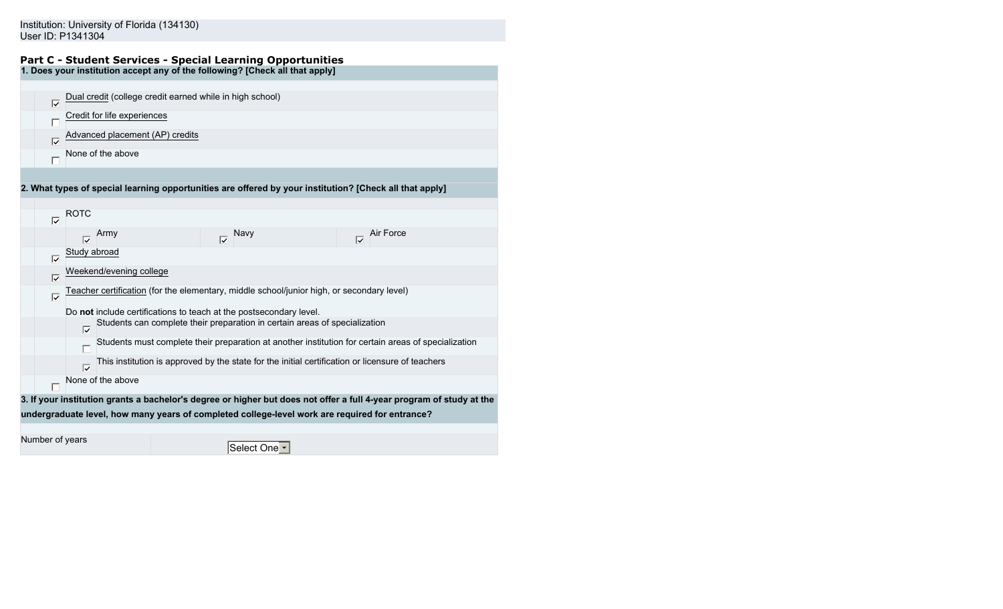### Institution: University of Florida (134130) User ID: P1341304

#### **Part C - Student Services - Special Learning Opportunities 1. Does your institution accept any of the following? [Check all that apply]**

| ⊽ | Dual credit (college credit earned while in high school) |
|---|----------------------------------------------------------|
|   | Credit for life experiences                              |
| ⊽ | Advanced placement (AP) credits                          |
|   | None of the above                                        |
|   |                                                          |

**2. What types of special learning opportunities are offered by your institution? [Check all that apply]**

 $\nabla$  ROTC  $\nabla$  Army  $\nabla$  Navy  $\nabla$  Air Force Study abroad  $\overline{\nabla}$ Weekend/evening college  $\overline{\nabla}$ Teacher certification (for the elementary, middle school/junior high, or secondary level)  $\overline{\nabla}$ Do **not** include certifications to teach at the postsecondary level. Students can complete their preparation in certain areas of specialization  $\overline{\nabla}$ Students must complete their preparation at another institution for certain areas of specialization This institution is approved by the state for the initial certification or licensure of teachers  $\overline{\nabla}$ None of the above **3. If your institution grants a bachelor's degree or higher but does not offer a full 4-year program of study at the undergraduate level, how many years of completed college-level work are required for entrance?** Number of years Select One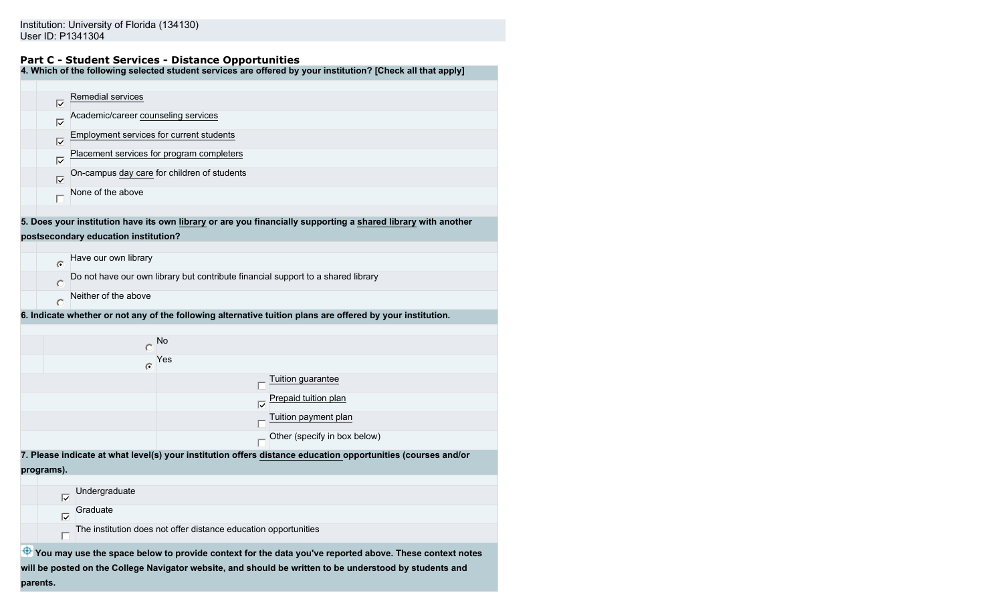### **Part C - Student Services - Distance Opportunities**

**4. Which of the following selected student services are offered by your institution? [Check all that apply]**

| Ⅳ                   | Remedial services                                                                                             |
|---------------------|---------------------------------------------------------------------------------------------------------------|
| lv                  | Academic/career counseling services                                                                           |
| $\overline{\nabla}$ | Employment services for current students                                                                      |
| lv                  | Placement services for program completers                                                                     |
| $\overline{\vee}$   | On-campus day care for children of students                                                                   |
|                     | None of the above                                                                                             |
|                     |                                                                                                               |
|                     | 5. Does your institution have its own library or are you financially supporting a shared library with another |
|                     | postsecondary education institution?                                                                          |
|                     |                                                                                                               |

| $\bullet$ | Have our own library |                                                                                  |                                                                                                            |
|-----------|----------------------|----------------------------------------------------------------------------------|------------------------------------------------------------------------------------------------------------|
| $\circ$   |                      | Do not have our own library but contribute financial support to a shared library |                                                                                                            |
| $\bigcap$ | Neither of the above |                                                                                  |                                                                                                            |
|           |                      |                                                                                  | 6. Indicate whether or not any of the following alternative tuition plans are offered by your institution. |
|           |                      |                                                                                  |                                                                                                            |
|           |                      | <b>No</b>                                                                        |                                                                                                            |
|           | $\subset$            | Yes                                                                              |                                                                                                            |
|           |                      |                                                                                  | Tuition guarantee                                                                                          |
|           |                      | ঢ়                                                                               | Prepaid tuition plan                                                                                       |
|           |                      |                                                                                  | Tuition payment plan                                                                                       |
|           |                      |                                                                                  | Other (specify in box below)                                                                               |
|           |                      |                                                                                  | Plassa indicato at what loval(s) your institution offers distance education opportunities (courses and/o   |

tution offers <u>distance education</u> **programs).**

|   | Undergraduate                                                   |
|---|-----------------------------------------------------------------|
| ⊮ | Graduate                                                        |
|   | The institution does not offer distance education opportunities |
|   |                                                                 |

 $\bigoplus$  **You may use the space below to provide context for the data you've reported above. These context notes will be posted on the College Navigator website, and should be written to be understood by students and parents.**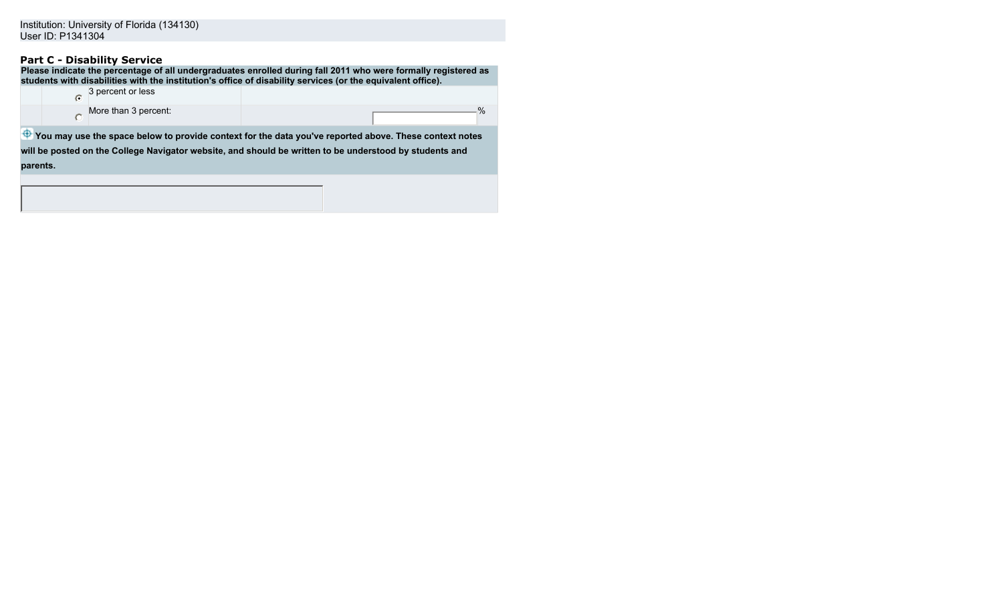## **Part C - Disability Service**

**parents.**

| Please indicate the percentage of all undergraduates enrolled during fall 2011 who were formally registered as<br>students with disabilities with the institution's office of disability services (or the equivalent office). |                                                                                                               |  |               |  |
|-------------------------------------------------------------------------------------------------------------------------------------------------------------------------------------------------------------------------------|---------------------------------------------------------------------------------------------------------------|--|---------------|--|
| r                                                                                                                                                                                                                             | 3 percent or less                                                                                             |  |               |  |
|                                                                                                                                                                                                                               | More than 3 percent:                                                                                          |  | $\frac{0}{0}$ |  |
|                                                                                                                                                                                                                               | <b>Pourmay use the space below to provide context for the data you've reported above. These context notes</b> |  |               |  |
| will be posted on the College Navigator website, and should be written to be understood by students and                                                                                                                       |                                                                                                               |  |               |  |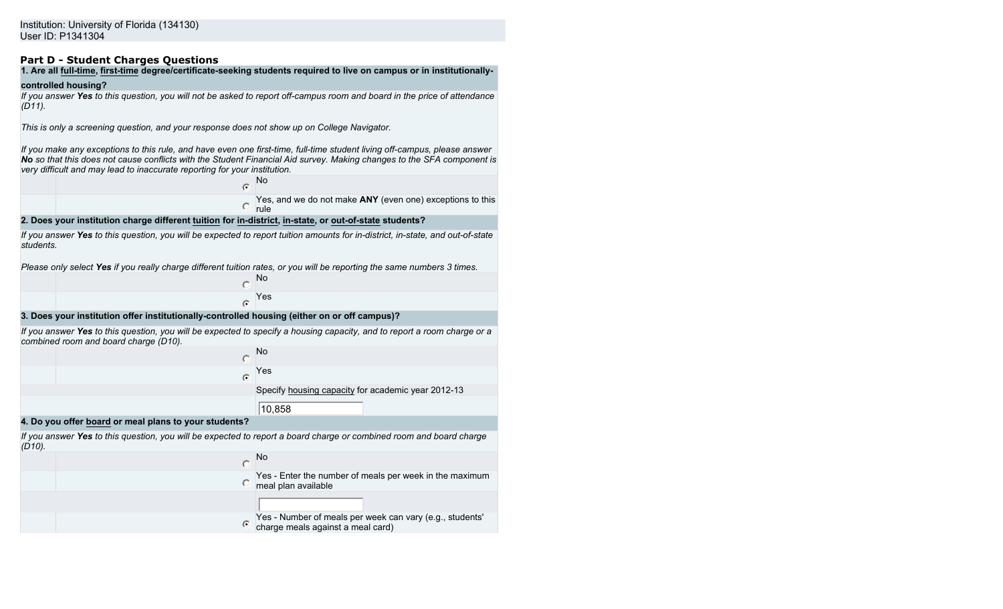## **Part D - Student Charges Questions**

# **1. Are all full-time, first-time degree/certificate-seeking students required to live on campus or in institutionally-**

#### **controlled housing?**

*If you answer Yes to this question, you will not be asked to report off-campus room and board in the price of attendance (D11).*

*This is only a screening question, and your response does not show up on College Navigator.*

*If you make any exceptions to this rule, and have even one first-time, full-time student living off-campus, please answer No so that this does not cause conflicts with the Student Financial Aid survey. Making changes to the SFA component is very difficult and may lead to inaccurate reporting for your institution.*

|                                                                                                        |  | - No                                                                     |
|--------------------------------------------------------------------------------------------------------|--|--------------------------------------------------------------------------|
|                                                                                                        |  | Yes, and we do not make ANY (even one) exceptions to this<br><b>rule</b> |
| 2. Does your institution charge different tuition for in-district, in-state, or out-of-state students? |  |                                                                          |

*If you answer Yes to this question, you will be expected to report tuition amounts for in-district, in-state, and out-of-state students.*

*Please only select Yes if you really charge different tuition rates, or you will be reporting the same numbers 3 times.*

| No  |
|-----|
| Yes |

**3. Does your institution offer institutionally-controlled housing (either on or off campus)?**

*If you answer Yes to this question, you will be expected to specify a housing capacity, and to report a room charge or a combined room and board charge (D10).*

|   | No                                                 |
|---|----------------------------------------------------|
| C | Yes                                                |
|   | Specify housing capacity for academic year 2012-13 |
|   | 10,858                                             |

**4. Do you offer board or meal plans to your students?**

*If you answer Yes to this question, you will be expected to report a board charge or combined room and board charge (D10).*

| Yes - Enter the number of meals per week in the maximum<br>meal plan available                     |
|----------------------------------------------------------------------------------------------------|
|                                                                                                    |
| $\odot$ Yes - Number of meals per week can vary (e.g., students' charge meals against a meal card) |
|                                                                                                    |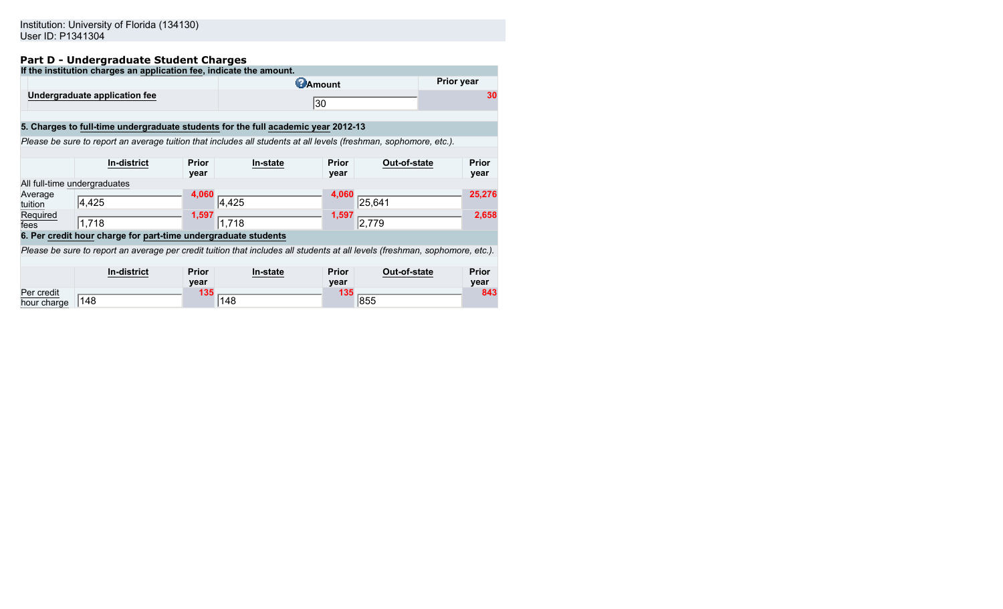### Institution: University of Florida (134130) User ID: P1341304

## **Part D - Undergraduate Student Charges**

|                                                                                   | If the institution charges an application fee, indicate the amount.                                                          |              |                                                                                                                   |              |                              |  |              |  |  |
|-----------------------------------------------------------------------------------|------------------------------------------------------------------------------------------------------------------------------|--------------|-------------------------------------------------------------------------------------------------------------------|--------------|------------------------------|--|--------------|--|--|
|                                                                                   | Prior year<br><b>@Amount</b>                                                                                                 |              |                                                                                                                   |              |                              |  |              |  |  |
|                                                                                   | Undergraduate application fee                                                                                                |              | 30                                                                                                                |              |                              |  | 30           |  |  |
| 5. Charges to full-time undergraduate students for the full academic year 2012-13 |                                                                                                                              |              |                                                                                                                   |              |                              |  |              |  |  |
|                                                                                   |                                                                                                                              |              | Please be sure to report an average tuition that includes all students at all levels (freshman, sophomore, etc.). |              |                              |  |              |  |  |
|                                                                                   | <b>In-district</b>                                                                                                           | <b>Prior</b> | In-state                                                                                                          | <b>Prior</b> | Out-of-state                 |  | <b>Prior</b> |  |  |
| All full-time undergraduates                                                      |                                                                                                                              | year         |                                                                                                                   | year         |                              |  | year         |  |  |
| Average<br>tuition                                                                | 4,425                                                                                                                        | 4.060        | 4,425                                                                                                             | 4.060        |                              |  | 25,276       |  |  |
| Required<br>fees                                                                  | 1,718                                                                                                                        | 1,597        | 1.718                                                                                                             |              | $\frac{1,000}{1,597}$ 25,641 |  | 2,658        |  |  |
| 6. Per credit hour charge for part-time undergraduate students                    |                                                                                                                              |              |                                                                                                                   |              |                              |  |              |  |  |
|                                                                                   | Please be sure to report an average per credit tuition that includes all students at all levels (freshman, sophomore, etc.). |              |                                                                                                                   |              |                              |  |              |  |  |
|                                                                                   | <b>In-district</b>                                                                                                           | <b>Prior</b> | In-state                                                                                                          | <b>Prior</b> | Out-of-state                 |  | <b>Prior</b> |  |  |

|             | In-district | Prior | In-state | Prior           | Out-of-state | Prior |
|-------------|-------------|-------|----------|-----------------|--------------|-------|
|             |             | vear  |          | vear            |              | vear  |
| Per credit  |             | 40 P  |          | 40 <sub>E</sub> |              | 843   |
| hour charge | 148         |       | 148      |                 | 855          |       |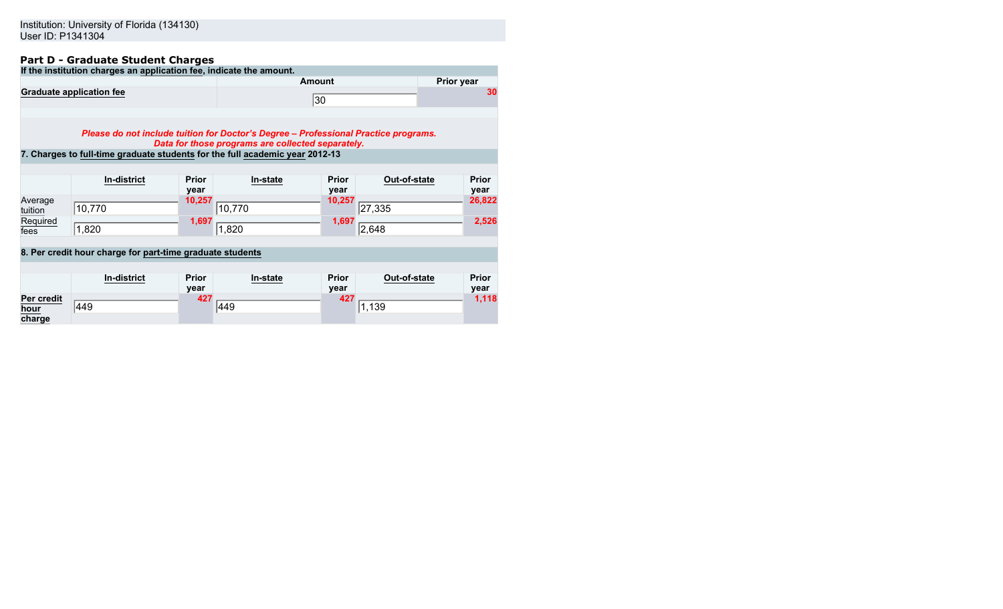## **Part D - Graduate Student Charges**

| If the institution charges an application fee, indicate the amount. |        |                   |
|---------------------------------------------------------------------|--------|-------------------|
|                                                                     | Amount | <b>Prior year</b> |
| <b>Graduate application fee</b>                                     | 30     |                   |
|                                                                     |        |                   |

*Please do not include tuition for Doctor's Degree – Professional Practice programs. Data for those programs are collected separately.*

**7. Charges to full-time graduate students for the full academic year 2012-13**

|                    | In-district | <b>Prior</b><br>year | In-state | <b>Prior</b><br>year | Out-of-state | <b>Prior</b><br>year |
|--------------------|-------------|----------------------|----------|----------------------|--------------|----------------------|
| Average<br>tuition | 10,770      | 10,257               | 10,770   | 10,257               | 27,335       | 26,822               |
| Required<br>fees   | 1,820       | 1,697                | ,820     | 1,697                | 2,648        | 2,526                |

## **8. Per credit hour charge for part-time graduate students**

|                              | In-district | <b>Prior</b><br>year | In-state | <b>Prior</b><br>year | Out-of-state | <b>Prior</b><br>year |
|------------------------------|-------------|----------------------|----------|----------------------|--------------|----------------------|
| Per credit<br>hour<br>charge | 449         | 427                  | 449      | 427                  | 1,139        | 1,118                |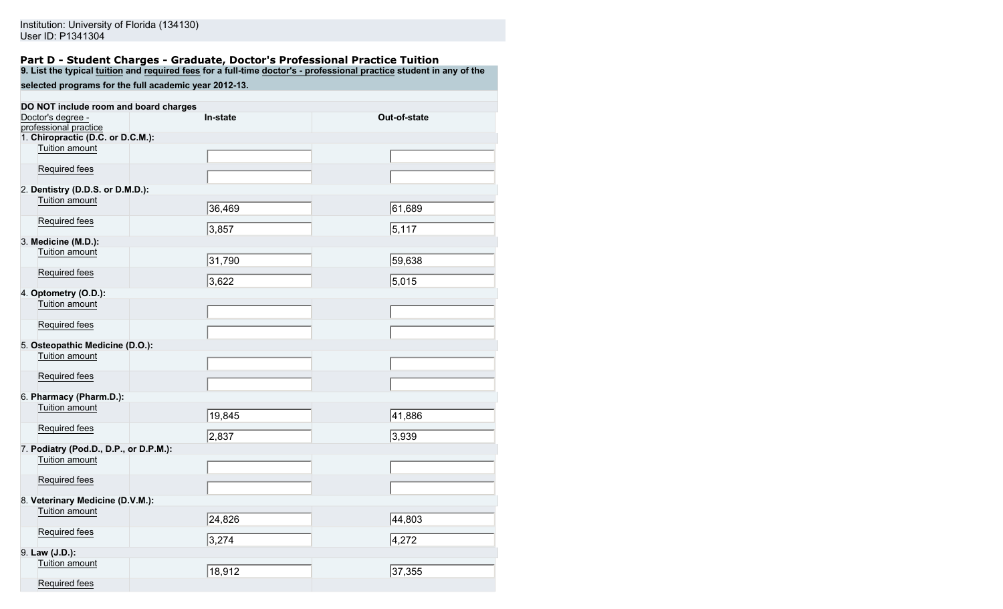#### **Part D - Student Charges - Graduate, Doctor's Professional Practice Tuition 9. List the typical tuition and required fees for a full-time doctor's - professional practice student in any of the**

**selected programs for the full academic year 2012-13.**

| DO NOT include room and board charges  |          |              |
|----------------------------------------|----------|--------------|
| Doctor's degree -                      | In-state | Out-of-state |
| professional practice                  |          |              |
| 1. Chiropractic (D.C. or D.C.M.):      |          |              |
| Tuition amount                         |          |              |
| Required fees                          |          |              |
| 2. Dentistry (D.D.S. or D.M.D.):       |          |              |
| Tuition amount                         | 36,469   | 61,689       |
| Required fees                          | 3,857    | 5,117        |
| 3. Medicine (M.D.):                    |          |              |
| Tuition amount                         | 31,790   | 59,638       |
| Required fees                          | 3,622    | 5,015        |
| 4. Optometry (O.D.):                   |          |              |
| Tuition amount                         |          |              |
| Required fees                          |          |              |
| 5. Osteopathic Medicine (D.O.):        |          |              |
| Tuition amount                         |          |              |
| Required fees                          |          |              |
| 6. Pharmacy (Pharm.D.):                |          |              |
| Tuition amount                         | 19,845   | 41,886       |
| Required fees                          | 2,837    | 3,939        |
| 7. Podiatry (Pod.D., D.P., or D.P.M.): |          |              |
| Tuition amount                         |          |              |
| Required fees                          |          |              |
| 8. Veterinary Medicine (D.V.M.):       |          |              |
| Tuition amount                         |          |              |
|                                        | 24,826   | 44,803       |
| Required fees                          | 3,274    | 4,272        |
| 9. Law (J.D.):                         |          |              |
| Tuition amount                         | 18,912   | 37,355       |
| Required fees                          |          |              |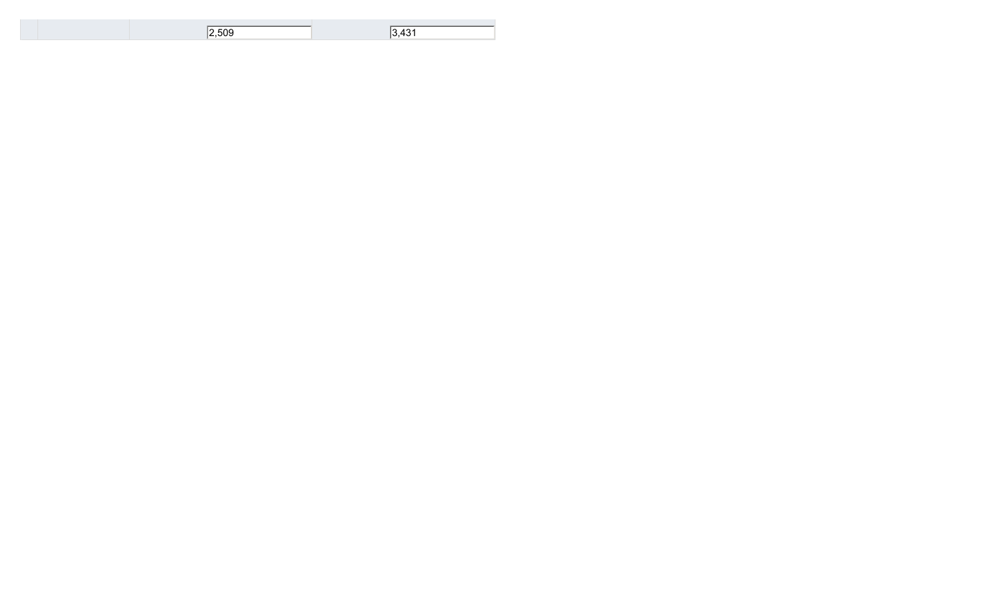|--|--|

 $3,431$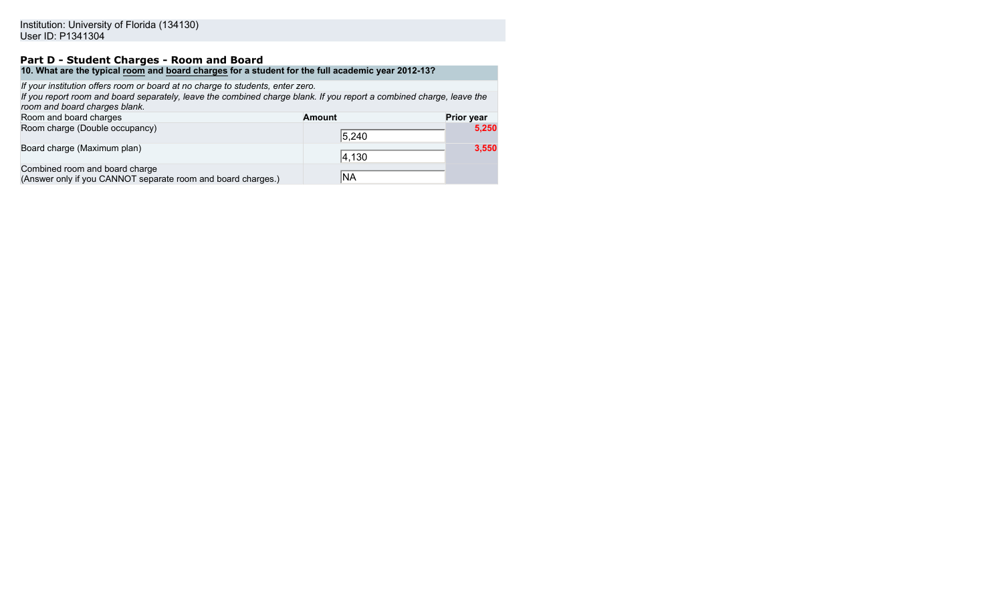## **Part D - Student Charges - Room and Board**

**10. What are the typical room and board charges for a student for the full academic year 2012-13?**

*If your institution offers room or board at no charge to students, enter zero.*

*If you report room and board separately, leave the combined charge blank. If you report a combined charge, leave the room and board charges blank.*

| Room and board charges                                                                         | <b>Amount</b> | <b>Prior year</b> |
|------------------------------------------------------------------------------------------------|---------------|-------------------|
| Room charge (Double occupancy)                                                                 | 5,240         | 5,250             |
| Board charge (Maximum plan)                                                                    | 4,130         | 3,550             |
| Combined room and board charge<br>(Answer only if you CANNOT separate room and board charges.) | NA            |                   |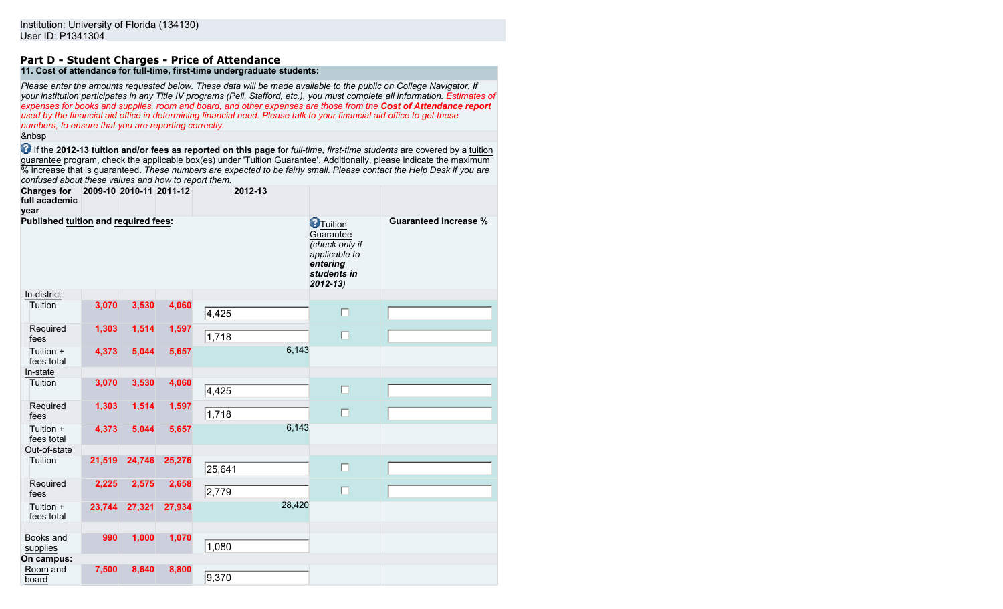#### **Part D - Student Charges - Price of Attendance 11. Cost of attendance for full-time, first-time undergraduate students:**

*Please enter the amounts requested below. These data will be made available to the public on College Navigator. If your institution participates in any Title IV programs (Pell, Stafford, etc.), you must complete all information. Estimates of expenses for books and supplies, room and board, and other expenses are those from the Cost of Attendance report used by the financial aid office in determining financial need. Please talk to your financial aid office to get these numbers, to ensure that you are reporting correctly.*

&nbsp

 If the **2012-13 tuition and/or fees as reported on this page** for *full-time, first-time students* are covered by a tuition guarantee program, check the applicable box(es) under 'Tuition Guarantee'. Additionally, please indicate the maximum % increase that is guaranteed. *These numbers are expected to be fairly small. Please contact the Help Desk if you are confused about these values and how to report them.*

| <b>Charges for</b><br>full academic<br>year | 2009-10 2010-11 2011-12 |        |        | 2012-13 |                                                                                                            |                              |
|---------------------------------------------|-------------------------|--------|--------|---------|------------------------------------------------------------------------------------------------------------|------------------------------|
| Published tuition and required fees:        |                         |        |        |         | <b>O</b> Tuition<br>Guarantee<br>(check only if<br>applicable to<br>entering<br>students in<br>$2012 - 13$ | <b>Guaranteed increase %</b> |
| In-district                                 |                         |        |        |         |                                                                                                            |                              |
| Tuition                                     | 3,070                   | 3,530  | 4,060  | 4,425   | $\Box$                                                                                                     |                              |
| Required<br>fees                            | 1,303                   | 1,514  | 1,597  | 1,718   | $\Box$                                                                                                     |                              |
| Tuition +<br>fees total                     | 4,373                   | 5,044  | 5,657  | 6,143   |                                                                                                            |                              |
| In-state                                    |                         |        |        |         |                                                                                                            |                              |
| Tuition                                     | 3,070                   | 3,530  | 4,060  | 4,425   | $\Box$                                                                                                     |                              |
| Required<br>fees                            | 1,303                   | 1,514  | 1,597  | 1,718   | $\Box$                                                                                                     |                              |
| Tuition +<br>fees total                     | 4,373                   | 5,044  | 5,657  | 6,143   |                                                                                                            |                              |
| Out-of-state                                |                         |        |        |         |                                                                                                            |                              |
| Tuition                                     | 21,519                  | 24,746 | 25,276 | 25,641  | $\Box$                                                                                                     |                              |
| Required<br>fees                            | 2,225                   | 2,575  | 2,658  | 2,779   | $\Box$                                                                                                     |                              |
| Tuition +<br>fees total                     | 23,744                  | 27,321 | 27,934 | 28,420  |                                                                                                            |                              |
| Books and<br>supplies                       | 990                     | 1,000  | 1,070  | 1,080   |                                                                                                            |                              |
| On campus:                                  |                         |        |        |         |                                                                                                            |                              |
| Room and<br>board                           | 7,500                   | 8,640  | 8,800  | 9,370   |                                                                                                            |                              |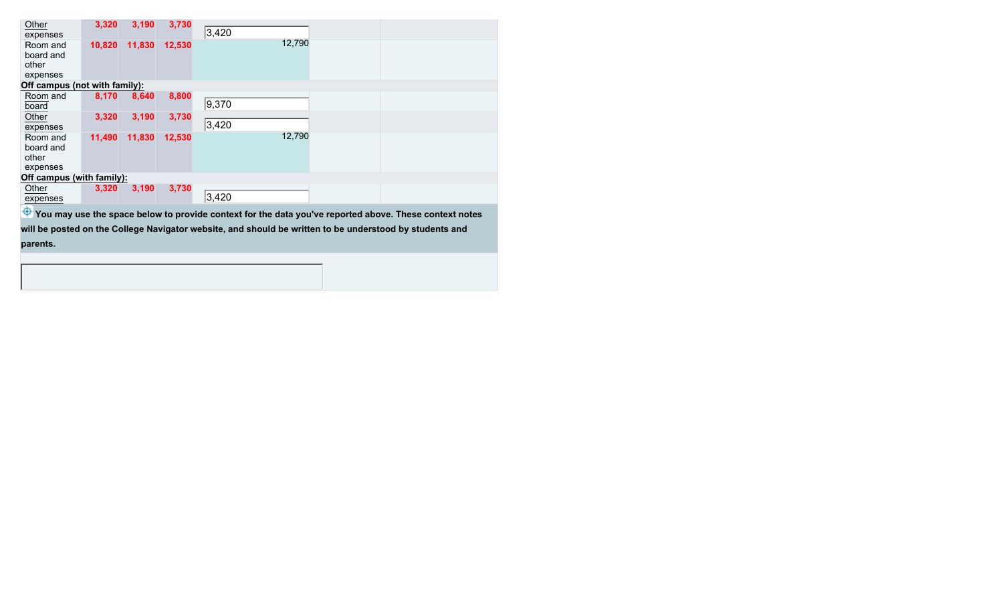| Other<br>expenses                          | 3,320  | 3,190  | 3,730  | 3,420           |  |
|--------------------------------------------|--------|--------|--------|-----------------|--|
| Room and<br>board and<br>other<br>expenses | 10,820 | 11,830 | 12,530 | 12,790          |  |
| Off campus (not with family):              |        |        |        |                 |  |
| Room and<br>board                          | 8,170  | 8,640  | 8,800  | 9,370           |  |
| Other<br>expenses                          | 3,320  | 3,190  | 3,730  | 3,420           |  |
| Room and<br>board and<br>other<br>expenses | 11,490 | 11,830 | 12,530 | 12,790          |  |
| Off campus (with family):                  |        |        |        |                 |  |
| Other<br>expenses                          | 3,320  | 3,190  | 3,730  | $ 3,420\rangle$ |  |
| $\mathbf{a}$                               |        |        |        | .<br>.          |  |

 $\bigoplus$  **You may use the space below to provide context for the data you've reported above. These context notes will be posted on the College Navigator website, and should be written to be understood by students and parents.**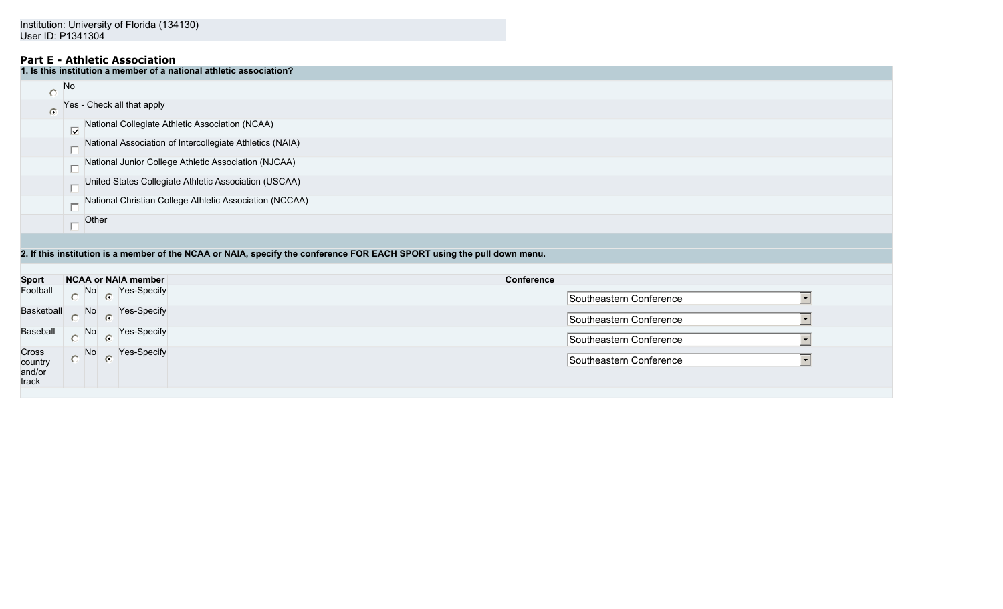## **Part E - Athletic Association**

| 1. Is this institution a member of a national athletic association? |                                                                                      |  |  |  |  |  |
|---------------------------------------------------------------------|--------------------------------------------------------------------------------------|--|--|--|--|--|
|                                                                     | <b>No</b>                                                                            |  |  |  |  |  |
| $\bullet$                                                           | Yes - Check all that apply                                                           |  |  |  |  |  |
|                                                                     | National Collegiate Athletic Association (NCAA)<br>$\overline{\nabla}$               |  |  |  |  |  |
|                                                                     | National Association of Intercollegiate Athletics (NAIA)<br>$\overline{\phantom{0}}$ |  |  |  |  |  |
|                                                                     | National Junior College Athletic Association (NJCAA)                                 |  |  |  |  |  |
|                                                                     | United States Collegiate Athletic Association (USCAA)                                |  |  |  |  |  |
|                                                                     | National Christian College Athletic Association (NCCAA)                              |  |  |  |  |  |
|                                                                     | Other                                                                                |  |  |  |  |  |
|                                                                     |                                                                                      |  |  |  |  |  |

## **2. If this institution is a member of the NCAA or NAIA, specify the conference FOR EACH SPORT using the pull down menu.**

| <b>Sport</b>                        | NCAA or NAIA member                                        | <b>Conference</b>                                   |
|-------------------------------------|------------------------------------------------------------|-----------------------------------------------------|
| Football                            | $\overline{\bigcirc}$ No $\overline{\bigcirc}$ Yes-Specify | Southeastern Conference                             |
|                                     | Basketball No Yes-Specify                                  | Southeastern Conference                             |
|                                     | Baseball No <b>Pres-Specify</b>                            | Southeastern Conference<br>$\overline{\phantom{0}}$ |
| Cross<br>country<br>and/or<br>track | No $\circ$ Yes-Specify                                     | Southeastern Conference<br>$\overline{\phantom{0}}$ |
|                                     |                                                            |                                                     |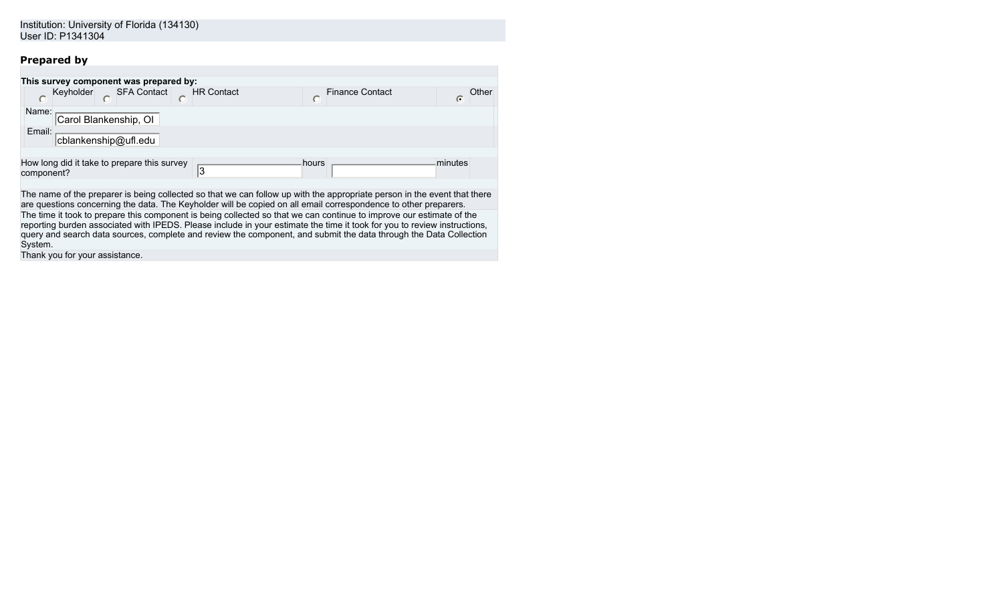# **Prepared by**

| This survey component was prepared by:                                                                                                                                                                                                                                                                                                                              |            |
|---------------------------------------------------------------------------------------------------------------------------------------------------------------------------------------------------------------------------------------------------------------------------------------------------------------------------------------------------------------------|------------|
| <b>SFA Contact</b><br><b>HR Contact</b><br>Keyholder<br>Finance Contact                                                                                                                                                                                                                                                                                             | ⊃ther<br>G |
| Name:<br>Carol Blankenship, OI                                                                                                                                                                                                                                                                                                                                      |            |
| Email:<br>cblankenship@ufl.edu                                                                                                                                                                                                                                                                                                                                      |            |
| How long did it take to prepare this survey<br>minutes<br>hours<br>'3<br>component?                                                                                                                                                                                                                                                                                 |            |
| The name of the preparer is being collected so that we can follow up with the appropriate person in the event that there<br>are questions concerning the data. The Keyholder will be copied on all email correspondence to other preparers.<br>The time it took to prepare this component is being collected so that we can continue to improve our estimate of the |            |
| reporting burden associated with IPEDS. Please include in your estimate the time it took for you to review instructions,<br>query and search data sources, complete and review the component, and submit the data through the Data Collection<br>System.                                                                                                            |            |
| Thank you for your assistance.                                                                                                                                                                                                                                                                                                                                      |            |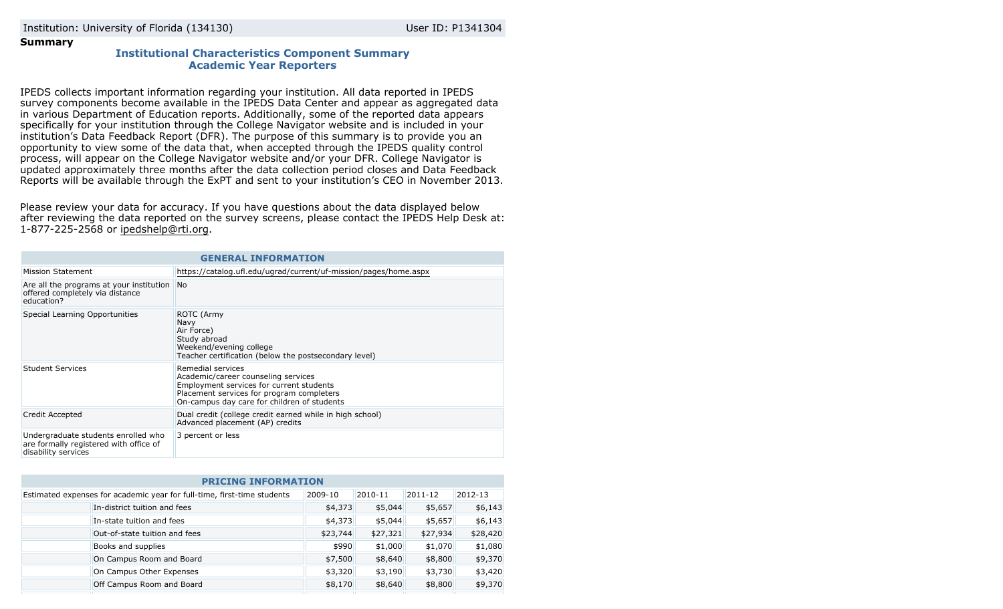## **Summary**

## **Institutional Characteristics Component Summary Academic Year Reporters**

IPEDS collects important information regarding your institution. All data reported in IPEDS survey components become available in the IPEDS Data Center and appear as aggregated data in various Department of Education reports. Additionally, some of the reported data appears specifically for your institution through the College Navigator website and is included in your institution's Data Feedback Report (DFR). The purpose of this summary is to provide you an opportunity to view some of the data that, when accepted through the IPEDS quality control process, will appear on the College Navigator website and/or your DFR. College Navigator is updated approximately three months after the data collection period closes and Data Feedback Reports will be available through the ExPT and sent to your institution's CEO in November 2013.

Please review your data for accuracy. If you have questions about the data displayed below after reviewing the data reported on the survey screens, please contact the IPEDS Help Desk at: 1-877-225-2568 or ipedshelp@rti.org.

| <b>GENERAL INFORMATION</b>                                                                           |                                                                                                                                                                                                  |  |  |  |
|------------------------------------------------------------------------------------------------------|--------------------------------------------------------------------------------------------------------------------------------------------------------------------------------------------------|--|--|--|
| <b>Mission Statement</b>                                                                             | https://catalog.ufl.edu/ugrad/current/uf-mission/pages/home.aspx                                                                                                                                 |  |  |  |
| Are all the programs at your institution<br>offered completely via distance<br>education?            | <b>No</b>                                                                                                                                                                                        |  |  |  |
| Special Learning Opportunities                                                                       | ROTC (Army<br>Navy<br>Air Force)<br>Study abroad<br>Weekend/evening college<br>Teacher certification (below the postsecondary level)                                                             |  |  |  |
| Student Services                                                                                     | Remedial services<br>Academic/career counseling services<br>Employment services for current students<br>Placement services for program completers<br>On-campus day care for children of students |  |  |  |
| Credit Accepted                                                                                      | Dual credit (college credit earned while in high school)<br>Advanced placement (AP) credits                                                                                                      |  |  |  |
| Undergraduate students enrolled who<br>are formally registered with office of<br>disability services | 3 percent or less                                                                                                                                                                                |  |  |  |

| <b>PRICING INFORMATION</b>                                              |          |          |          |          |  |  |
|-------------------------------------------------------------------------|----------|----------|----------|----------|--|--|
| Estimated expenses for academic year for full-time, first-time students | 2009-10  | 2010-11  | 2011-12  | 2012-13  |  |  |
| In-district tuition and fees                                            | \$4,373  | \$5,044  | \$5,657  | \$6,143  |  |  |
| In-state tuition and fees                                               | \$4,373  | \$5,044  | \$5,657  | \$6,143  |  |  |
| Out-of-state tuition and fees                                           | \$23,744 | \$27,321 | \$27,934 | \$28,420 |  |  |
| Books and supplies                                                      | \$990    | \$1,000  | \$1,070  | \$1,080  |  |  |
| On Campus Room and Board                                                | \$7,500  | \$8,640  | \$8,800  | \$9,370  |  |  |
| On Campus Other Expenses                                                | \$3,320  | \$3,190  | \$3,730  | \$3,420  |  |  |
| Off Campus Room and Board                                               | \$8,170  | \$8,640  | \$8,800  | \$9,370  |  |  |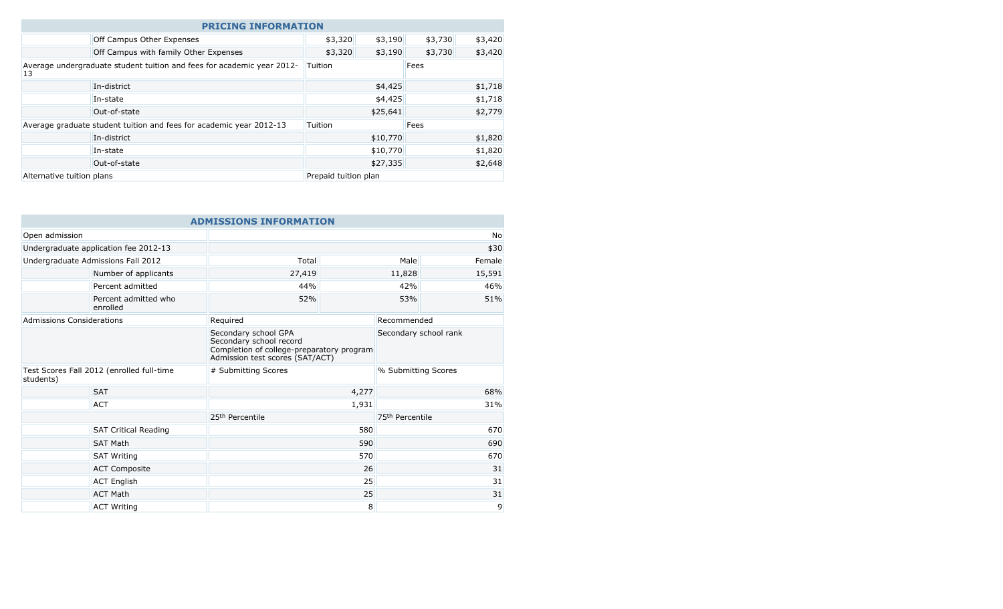| <b>PRICING INFORMATION</b>                                                   |                                       |                      |          |         |         |
|------------------------------------------------------------------------------|---------------------------------------|----------------------|----------|---------|---------|
|                                                                              | Off Campus Other Expenses             | \$3,320              | \$3,190  | \$3,730 | \$3,420 |
|                                                                              | Off Campus with family Other Expenses | \$3,320              | \$3,190  | \$3,730 | \$3,420 |
| Average undergraduate student tuition and fees for academic year 2012-<br>13 |                                       | Tuition              |          | Fees    |         |
|                                                                              | In-district                           |                      | \$4,425  |         | \$1,718 |
|                                                                              | In-state                              |                      | \$4,425  |         | \$1,718 |
|                                                                              | Out-of-state                          |                      | \$25,641 |         | \$2,779 |
| Average graduate student tuition and fees for academic year 2012-13          |                                       | Tuition              |          | Fees    |         |
|                                                                              | In-district                           |                      | \$10,770 |         | \$1,820 |
|                                                                              | In-state                              |                      | \$10,770 |         | \$1,820 |
|                                                                              | Out-of-state                          |                      | \$27,335 |         | \$2,648 |
| Alternative tuition plans                                                    |                                       | Prepaid tuition plan |          |         |         |

|                                                        |                                       | <b>ADMISSIONS INFORMATION</b>                                                                                                   |       |                             |             |
|--------------------------------------------------------|---------------------------------------|---------------------------------------------------------------------------------------------------------------------------------|-------|-----------------------------|-------------|
| Open admission                                         |                                       |                                                                                                                                 |       |                             | <b>No</b>   |
|                                                        | Undergraduate application fee 2012-13 |                                                                                                                                 |       |                             | \$30        |
|                                                        | Undergraduate Admissions Fall 2012    | Total                                                                                                                           |       | Male                        | Female      |
|                                                        | Number of applicants                  | 27,419                                                                                                                          |       | 11,828                      | 15,591      |
|                                                        | Percent admitted                      | 44%                                                                                                                             |       | 42%                         | 46%         |
|                                                        | Percent admitted who<br>enrolled      | 52%                                                                                                                             |       | 53%                         | 51%         |
| Admissions Considerations                              |                                       | Required                                                                                                                        |       |                             | Recommended |
|                                                        |                                       | Secondary school GPA<br>Secondary school record<br>Completion of college-preparatory program<br>Admission test scores (SAT/ACT) |       | Secondary school rank       |             |
| Test Scores Fall 2012 (enrolled full-time<br>students) |                                       | # Submitting Scores                                                                                                             |       | % Submitting Scores         |             |
|                                                        | <b>SAT</b>                            |                                                                                                                                 | 4,277 |                             | 68%         |
|                                                        | <b>ACT</b>                            |                                                                                                                                 | 1,931 |                             | 31%         |
|                                                        |                                       | 25 <sup>th</sup> Percentile                                                                                                     |       | 75 <sup>th</sup> Percentile |             |
|                                                        | <b>SAT Critical Reading</b>           |                                                                                                                                 | 580   |                             | 670         |
|                                                        | <b>SAT Math</b>                       |                                                                                                                                 | 590   |                             | 690         |
|                                                        | <b>SAT Writing</b>                    | 570                                                                                                                             |       | 670                         |             |
|                                                        | <b>ACT Composite</b>                  |                                                                                                                                 | 26    |                             | 31          |
|                                                        | <b>ACT English</b>                    |                                                                                                                                 | 25    |                             | 31          |
|                                                        | <b>ACT Math</b>                       |                                                                                                                                 | 25    |                             | 31          |
|                                                        | <b>ACT Writing</b>                    |                                                                                                                                 | 8     |                             | 9           |